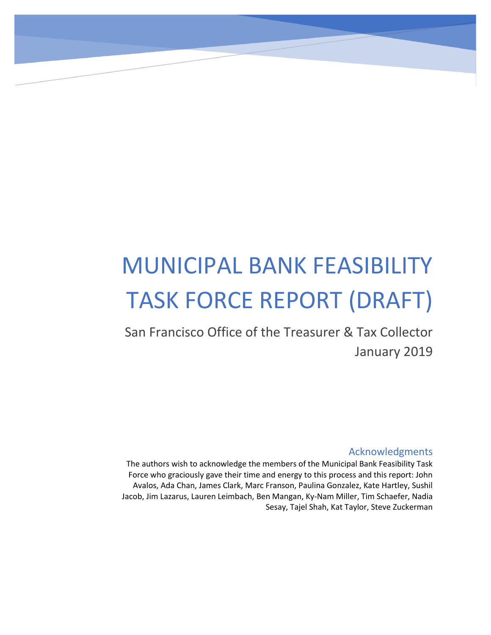# MUNICIPAL BANK FEASIBILITY TASK FORCE REPORT (DRAFT)

San Francisco Office of the Treasurer & Tax Collector January 2019

#### Acknowledgments

The authors wish to acknowledge the members of the Municipal Bank Feasibility Task Force who graciously gave their time and energy to this process and this report: John Avalos, Ada Chan, James Clark, Marc Franson, Paulina Gonzalez, Kate Hartley, Sushil Jacob, Jim Lazarus, Lauren Leimbach, Ben Mangan, Ky-Nam Miller, Tim Schaefer, Nadia Sesay, Tajel Shah, Kat Taylor, Steve Zuckerman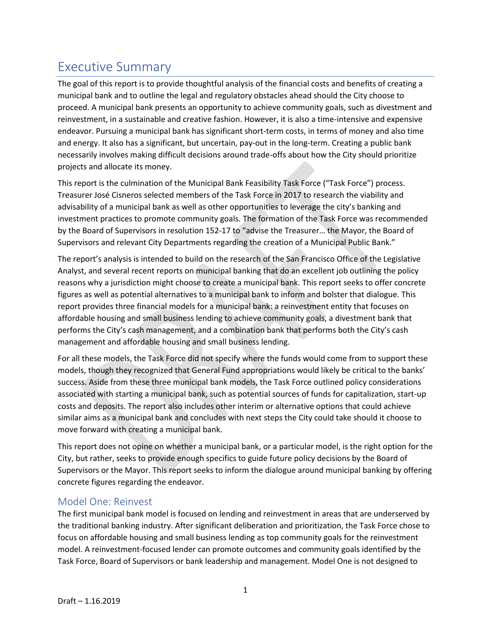# Executive Summary

The goal of this report is to provide thoughtful analysis of the financial costs and benefits of creating a municipal bank and to outline the legal and regulatory obstacles ahead should the City choose to proceed. A municipal bank presents an opportunity to achieve community goals, such as divestment and reinvestment, in a sustainable and creative fashion. However, it is also a time-intensive and expensive endeavor. Pursuing a municipal bank has significant short-term costs, in terms of money and also time and energy. It also has a significant, but uncertain, pay-out in the long-term. Creating a public bank necessarily involves making difficult decisions around trade-offs about how the City should prioritize projects and allocate its money.

This report is the culmination of the Municipal Bank Feasibility Task Force ("Task Force") process. Treasurer José Cisneros selected members of the Task Force in 2017 to research the viability and advisability of a municipal bank as well as other opportunities to leverage the city's banking and investment practices to promote community goals. The formation of the Task Force was recommended by the Board of Supervisors in resolution 152-17 to "advise the Treasurer… the Mayor, the Board of Supervisors and relevant City Departments regarding the creation of a Municipal Public Bank."

The report's analysis is intended to build on the research of the San Francisco Office of the Legislative Analyst, and several recent reports on municipal banking that do an excellent job outlining the policy reasons why a jurisdiction might choose to create a municipal bank. This report seeks to offer concrete figures as well as potential alternatives to a municipal bank to inform and bolster that dialogue. This report provides three financial models for a municipal bank: a reinvestment entity that focuses on affordable housing and small business lending to achieve community goals, a divestment bank that performs the City's cash management, and a combination bank that performs both the City's cash management and affordable housing and small business lending.

For all these models, the Task Force did not specify where the funds would come from to support these models, though they recognized that General Fund appropriations would likely be critical to the banks' success. Aside from these three municipal bank models, the Task Force outlined policy considerations associated with starting a municipal bank, such as potential sources of funds for capitalization, start-up costs and deposits. The report also includes other interim or alternative options that could achieve similar aims as a municipal bank and concludes with next steps the City could take should it choose to move forward with creating a municipal bank.

This report does not opine on whether a municipal bank, or a particular model, is the right option for the City, but rather, seeks to provide enough specifics to guide future policy decisions by the Board of Supervisors or the Mayor. This report seeks to inform the dialogue around municipal banking by offering concrete figures regarding the endeavor.

#### Model One: Reinvest

The first municipal bank model is focused on lending and reinvestment in areas that are underserved by the traditional banking industry. After significant deliberation and prioritization, the Task Force chose to focus on affordable housing and small business lending as top community goals for the reinvestment model. A reinvestment-focused lender can promote outcomes and community goals identified by the Task Force, Board of Supervisors or bank leadership and management. Model One is not designed to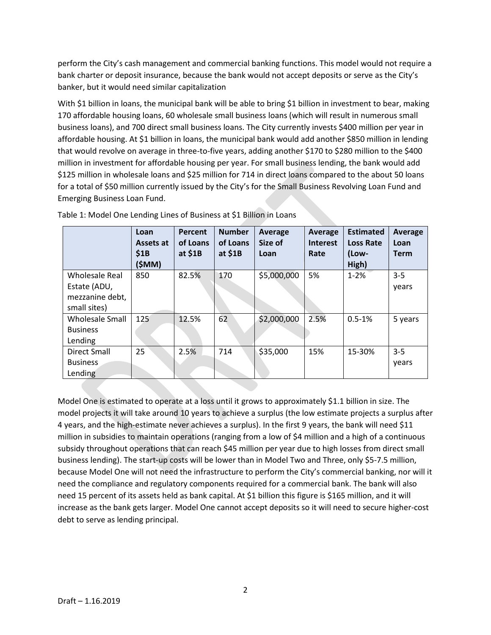perform the City's cash management and commercial banking functions. This model would not require a bank charter or deposit insurance, because the bank would not accept deposits or serve as the City's banker, but it would need similar capitalization

With \$1 billion in loans, the municipal bank will be able to bring \$1 billion in investment to bear, making 170 affordable housing loans, 60 wholesale small business loans (which will result in numerous small business loans), and 700 direct small business loans. The City currently invests \$400 million per year in affordable housing. At \$1 billion in loans, the municipal bank would add another \$850 million in lending that would revolve on average in three-to-five years, adding another \$170 to \$280 million to the \$400 million in investment for affordable housing per year. For small business lending, the bank would add \$125 million in wholesale loans and \$25 million for 714 in direct loans compared to the about 50 loans for a total of \$50 million currently issued by the City's for the Small Business Revolving Loan Fund and Emerging Business Loan Fund.

|                                                                          | Loan<br>Assets at<br>\$1B<br>(\$MM) | Percent<br>of Loans<br>at $$1B$ | <b>Number</b><br>of Loans<br>at $$1B$ | Average<br>Size of<br>Loan | Average<br><b>Interest</b><br>Rate | <b>Estimated</b><br><b>Loss Rate</b><br>(Low-<br>High) | Average<br>Loan<br><b>Term</b> |
|--------------------------------------------------------------------------|-------------------------------------|---------------------------------|---------------------------------------|----------------------------|------------------------------------|--------------------------------------------------------|--------------------------------|
| <b>Wholesale Real</b><br>Estate (ADU,<br>mezzanine debt,<br>small sites) | 850                                 | 82.5%                           | 170                                   | \$5,000,000                | 5%                                 | $1 - 2%$                                               | $3 - 5$<br>years               |
| <b>Wholesale Small</b><br><b>Business</b><br>Lending                     | 125                                 | 12.5%                           | 62                                    | \$2,000,000                | 2.5%                               | $0.5 - 1%$                                             | 5 years                        |
| Direct Small<br><b>Business</b><br>Lending                               | 25                                  | 2.5%                            | 714                                   | \$35,000                   | 15%                                | 15-30%                                                 | $3 - 5$<br>years               |

Table 1: Model One Lending Lines of Business at \$1 Billion in Loans

Model One is estimated to operate at a loss until it grows to approximately \$1.1 billion in size. The model projects it will take around 10 years to achieve a surplus (the low estimate projects a surplus after 4 years, and the high-estimate never achieves a surplus). In the first 9 years, the bank will need \$11 million in subsidies to maintain operations (ranging from a low of \$4 million and a high of a continuous subsidy throughout operations that can reach \$45 million per year due to high losses from direct small business lending). The start-up costs will be lower than in Model Two and Three, only \$5-7.5 million, because Model One will not need the infrastructure to perform the City's commercial banking, nor will it need the compliance and regulatory components required for a commercial bank. The bank will also need 15 percent of its assets held as bank capital. At \$1 billion this figure is \$165 million, and it will increase as the bank gets larger. Model One cannot accept deposits so it will need to secure higher-cost debt to serve as lending principal.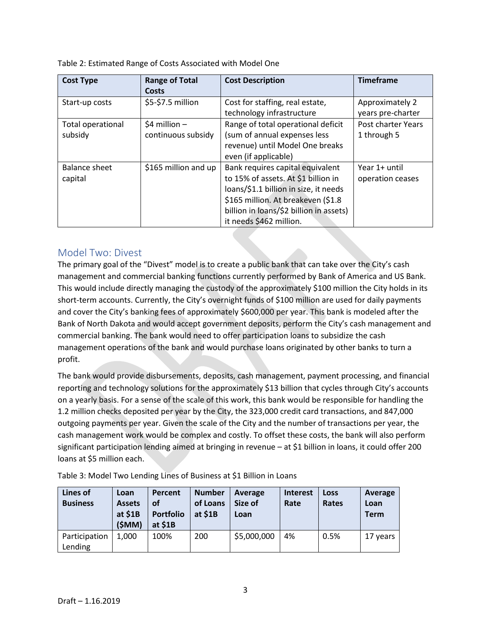Table 2: Estimated Range of Costs Associated with Model One

| <b>Cost Type</b>  | <b>Range of Total</b> | <b>Cost Description</b>                 | <b>Timeframe</b>   |
|-------------------|-----------------------|-----------------------------------------|--------------------|
|                   | Costs                 |                                         |                    |
| Start-up costs    | \$5-\$7.5 million     | Cost for staffing, real estate,         | Approximately 2    |
|                   |                       | technology infrastructure               | years pre-charter  |
| Total operational | $$4$ million -        | Range of total operational deficit      | Post charter Years |
| subsidy           | continuous subsidy    | (sum of annual expenses less            | 1 through 5        |
|                   |                       | revenue) until Model One breaks         |                    |
|                   |                       | even (if applicable)                    |                    |
| Balance sheet     | \$165 million and up  | Bank requires capital equivalent        | Year 1+ until      |
| capital           |                       | to 15% of assets. At \$1 billion in     | operation ceases   |
|                   |                       | loans/\$1.1 billion in size, it needs   |                    |
|                   |                       | \$165 million. At breakeven (\$1.8      |                    |
|                   |                       | billion in loans/\$2 billion in assets) |                    |
|                   |                       | it needs \$462 million.                 |                    |

### Model Two: Divest

The primary goal of the "Divest" model is to create a public bank that can take over the City's cash management and commercial banking functions currently performed by Bank of America and US Bank. This would include directly managing the custody of the approximately \$100 million the City holds in its short-term accounts. Currently, the City's overnight funds of \$100 million are used for daily payments and cover the City's banking fees of approximately \$600,000 per year. This bank is modeled after the Bank of North Dakota and would accept government deposits, perform the City's cash management and commercial banking. The bank would need to offer participation loans to subsidize the cash management operations of the bank and would purchase loans originated by other banks to turn a profit.

The bank would provide disbursements, deposits, cash management, payment processing, and financial reporting and technology solutions for the approximately \$13 billion that cycles through City's accounts on a yearly basis. For a sense of the scale of this work, this bank would be responsible for handling the 1.2 million checks deposited per year by the City, the 323,000 credit card transactions, and 847,000 outgoing payments per year. Given the scale of the City and the number of transactions per year, the cash management work would be complex and costly. To offset these costs, the bank will also perform significant participation lending aimed at bringing in revenue – at \$1 billion in loans, it could offer 200 loans at \$5 million each.

| Lines of<br><b>Business</b> | Loan<br><b>Assets</b><br>at \$1B<br>(\$MM) | Percent<br>οf<br><b>Portfolio</b><br>at $$1B$ | <b>Number</b><br>of Loans<br>at $$1B$ | Average<br>Size of<br>Loan | <b>Interest</b><br>Rate | <b>Loss</b><br>Rates | Average<br>Loan<br><b>Term</b> |
|-----------------------------|--------------------------------------------|-----------------------------------------------|---------------------------------------|----------------------------|-------------------------|----------------------|--------------------------------|
| Participation<br>Lending    | 1.000                                      | 100%                                          | 200                                   | \$5,000,000                | 4%                      | 0.5%                 | 17 years                       |

Table 3: Model Two Lending Lines of Business at \$1 Billion in Loans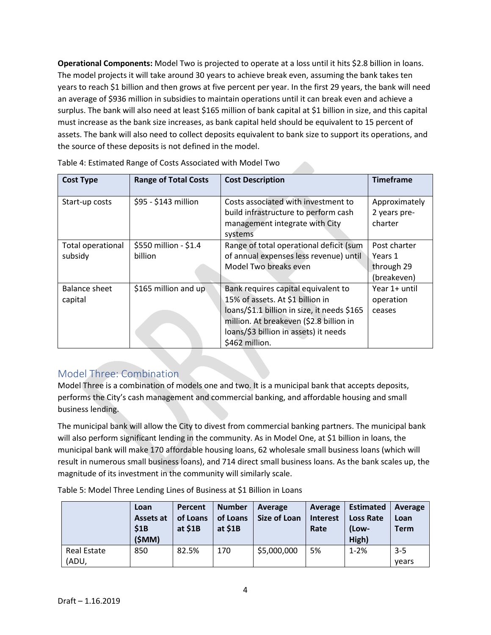**Operational Components:** Model Two is projected to operate at a loss until it hits \$2.8 billion in loans. The model projects it will take around 30 years to achieve break even, assuming the bank takes ten years to reach \$1 billion and then grows at five percent per year. In the first 29 years, the bank will need an average of \$936 million in subsidies to maintain operations until it can break even and achieve a surplus. The bank will also need at least \$165 million of bank capital at \$1 billion in size, and this capital must increase as the bank size increases, as bank capital held should be equivalent to 15 percent of assets. The bank will also need to collect deposits equivalent to bank size to support its operations, and the source of these deposits is not defined in the model.

| <b>Cost Type</b>  | <b>Range of Total Costs</b> | <b>Cost Description</b>                     | <b>Timeframe</b> |
|-------------------|-----------------------------|---------------------------------------------|------------------|
|                   |                             |                                             |                  |
| Start-up costs    | \$95 - \$143 million        | Costs associated with investment to         | Approximately    |
|                   |                             | build infrastructure to perform cash        | 2 years pre-     |
|                   |                             | management integrate with City              | charter          |
|                   |                             | systems                                     |                  |
| Total operational | \$550 million - \$1.4       | Range of total operational deficit (sum     | Post charter     |
| subsidy           | billion                     | of annual expenses less revenue) until      | Years 1          |
|                   |                             | Model Two breaks even                       | through 29       |
|                   |                             |                                             | (breakeven)      |
| Balance sheet     | \$165 million and up        | Bank requires capital equivalent to         | Year 1+ until    |
| capital           |                             | 15% of assets. At \$1 billion in            | operation        |
|                   |                             | loans/\$1.1 billion in size, it needs \$165 | ceases           |
|                   |                             | million. At breakeven (\$2.8 billion in     |                  |
|                   |                             | loans/\$3 billion in assets) it needs       |                  |
|                   |                             | \$462 million.                              |                  |

# Model Three: Combination

Model Three is a combination of models one and two. It is a municipal bank that accepts deposits, performs the City's cash management and commercial banking, and affordable housing and small business lending.

The municipal bank will allow the City to divest from commercial banking partners. The municipal bank will also perform significant lending in the community. As in Model One, at \$1 billion in loans, the municipal bank will make 170 affordable housing loans, 62 wholesale small business loans (which will result in numerous small business loans), and 714 direct small business loans. As the bank scales up, the magnitude of its investment in the community will similarly scale.

|             | Loan<br>Assets at<br>\$1B<br>(\$MM) | Percent<br>of Loans<br>at $$1B$ | <b>Number</b><br>of Loans<br>at $$1B$ | Average<br>Size of Loan | Average<br><b>Interest</b><br>Rate | <b>Estimated</b><br><b>Loss Rate</b><br>(Low-<br>High) | Average<br>Loan<br><b>Term</b> |
|-------------|-------------------------------------|---------------------------------|---------------------------------------|-------------------------|------------------------------------|--------------------------------------------------------|--------------------------------|
| Real Estate | 850                                 | 82.5%                           | 170                                   | \$5,000,000             | 5%                                 | $1 - 2%$                                               | $3 - 5$                        |
| (ADU,       |                                     |                                 |                                       |                         |                                    |                                                        | vears                          |

Table 5: Model Three Lending Lines of Business at \$1 Billion in Loans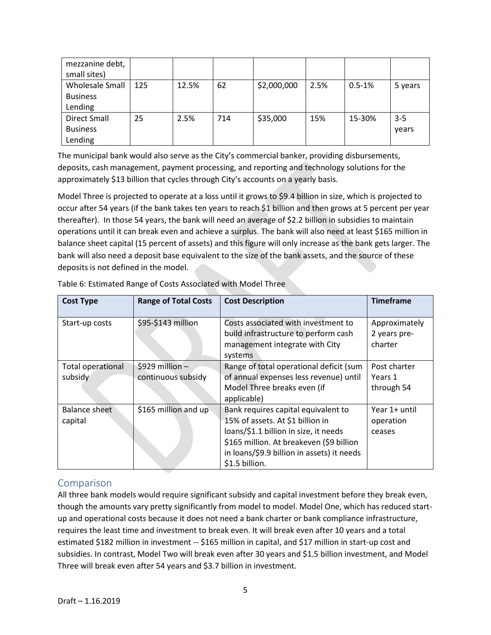| mezzanine debt,     |     |       |     |             |      |            |         |
|---------------------|-----|-------|-----|-------------|------|------------|---------|
| small sites)        |     |       |     |             |      |            |         |
| Wholesale Small     | 125 | 12.5% | 62  | \$2,000,000 | 2.5% | $0.5 - 1%$ | 5 years |
| <b>Business</b>     |     |       |     |             |      |            |         |
| Lending             |     |       |     |             |      |            |         |
| <b>Direct Small</b> | 25  | 2.5%  | 714 | \$35,000    | 15%  | 15-30%     | $3 - 5$ |
| <b>Business</b>     |     |       |     |             |      |            | vears   |
| Lending             |     |       |     |             |      |            |         |

The municipal bank would also serve as the City's commercial banker, providing disbursements, deposits, cash management, payment processing, and reporting and technology solutions for the approximately \$13 billion that cycles through City's accounts on a yearly basis.

Model Three is projected to operate at a loss until it grows to \$9.4 billion in size, which is projected to occur after 54 years (if the bank takes ten years to reach \$1 billion and then grows at 5 percent per year thereafter). In those 54 years, the bank will need an average of \$2.2 billion in subsidies to maintain operations until it can break even and achieve a surplus. The bank will also need at least \$165 million in balance sheet capital (15 percent of assets) and this figure will only increase as the bank gets larger. The bank will also need a deposit base equivalent to the size of the bank assets, and the source of these deposits is not defined in the model.

| <b>Cost Type</b>             | <b>Range of Total Costs</b>           | <b>Cost Description</b>                                                                                                                                                                                                      | <b>Timeframe</b>                         |
|------------------------------|---------------------------------------|------------------------------------------------------------------------------------------------------------------------------------------------------------------------------------------------------------------------------|------------------------------------------|
| Start-up costs               | \$95-\$143 million                    | Costs associated with investment to<br>build infrastructure to perform cash<br>management integrate with City<br>systems                                                                                                     | Approximately<br>2 years pre-<br>charter |
| Total operational<br>subsidy | \$929 million -<br>continuous subsidy | Range of total operational deficit (sum<br>of annual expenses less revenue) until<br>Model Three breaks even (if<br>applicable)                                                                                              | Post charter<br>Years 1<br>through 54    |
| Balance sheet<br>capital     | \$165 million and up                  | Bank requires capital equivalent to<br>15% of assets. At \$1 billion in<br>loans/\$1.1 billion in size, it needs<br>\$165 million. At breakeven (\$9 billion<br>in loans/\$9.9 billion in assets) it needs<br>\$1.5 billion. | Year 1+ until<br>operation<br>ceases     |

Table 6: Estimated Range of Costs Associated with Model Three

# Comparison

All three bank models would require significant subsidy and capital investment before they break even, though the amounts vary pretty significantly from model to model. Model One, which has reduced startup and operational costs because it does not need a bank charter or bank compliance infrastructure, requires the least time and investment to break even. It will break even after 10 years and a total estimated \$182 million in investment -- \$165 million in capital, and \$17 million in start-up cost and subsidies. In contrast, Model Two will break even after 30 years and \$1.5 billion investment, and Model Three will break even after 54 years and \$3.7 billion in investment.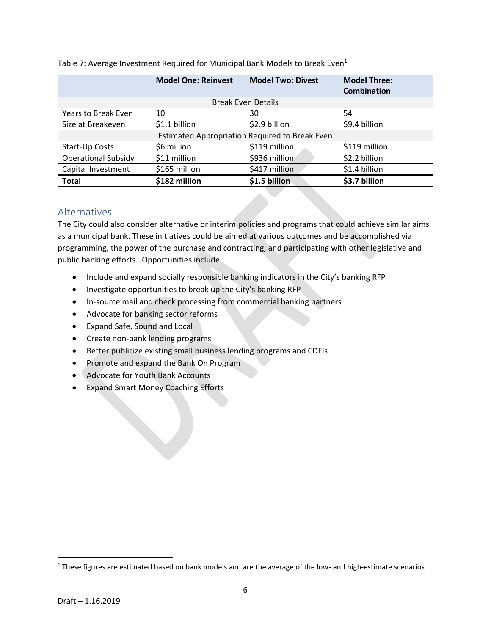|                            | <b>Model One: Reinvest</b> | <b>Model Two: Divest</b>                       | <b>Model Three:</b> |  |  |  |
|----------------------------|----------------------------|------------------------------------------------|---------------------|--|--|--|
|                            |                            |                                                | <b>Combination</b>  |  |  |  |
| <b>Break Even Details</b>  |                            |                                                |                     |  |  |  |
| Years to Break Even        | 10                         | 30                                             | 54                  |  |  |  |
| Size at Breakeven          | \$1.1 billion              | \$2.9 billion                                  | \$9.4 billion       |  |  |  |
|                            |                            | Estimated Appropriation Required to Break Even |                     |  |  |  |
| Start-Up Costs             | \$6 million                | \$119 million                                  | \$119 million       |  |  |  |
| <b>Operational Subsidy</b> | \$11 million               | \$936 million                                  | \$2.2 billion       |  |  |  |
| Capital Investment         | \$165 million              | \$417 million                                  | \$1.4 billion       |  |  |  |
| <b>Total</b>               | \$182 million              | \$1.5 billion                                  | \$3.7 billion       |  |  |  |

Table 7: Average Investment Required for Municipal Bank Models to Break Even<sup>1</sup>

### Alternatives

The City could also consider alternative or interim policies and programs that could achieve similar aims as a municipal bank. These initiatives could be aimed at various outcomes and be accomplished via programming, the power of the purchase and contracting, and participating with other legislative and public banking efforts. Opportunities include:

- Include and expand socially responsible banking indicators in the City's banking RFP
- Investigate opportunities to break up the City's banking RFP
- In-source mail and check processing from commercial banking partners
- Advocate for banking sector reforms
- Expand Safe, Sound and Local
- Create non-bank lending programs
- Better publicize existing small business lending programs and CDFIs
- Promote and expand the Bank On Program
- Advocate for Youth Bank Accounts
- Expand Smart Money Coaching Efforts

 $1$  These figures are estimated based on bank models and are the average of the low- and high-estimate scenarios.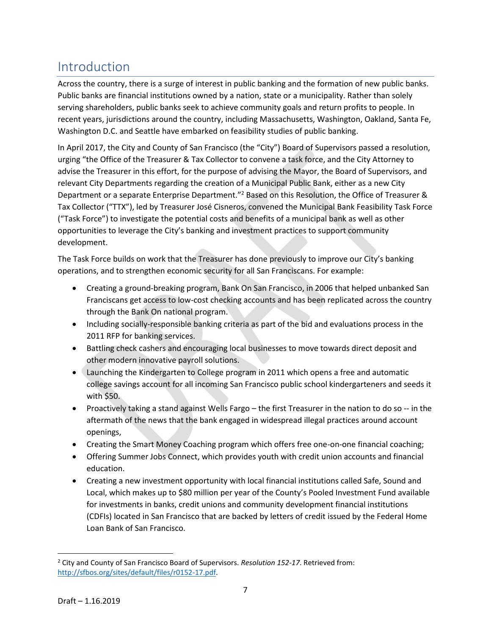# Introduction

Across the country, there is a surge of interest in public banking and the formation of new public banks. Public banks are financial institutions owned by a nation, state or a municipality. Rather than solely serving shareholders, public banks seek to achieve community goals and return profits to people. In recent years, jurisdictions around the country, including Massachusetts, Washington, Oakland, Santa Fe, Washington D.C. and Seattle have embarked on feasibility studies of public banking.

In April 2017, the City and County of San Francisco (the "City") Board of Supervisors passed a resolution, urging "the Office of the Treasurer & Tax Collector to convene a task force, and the City Attorney to advise the Treasurer in this effort, for the purpose of advising the Mayor, the Board of Supervisors, and relevant City Departments regarding the creation of a Municipal Public Bank, either as a new City Department or a separate Enterprise Department."<sup>2</sup> Based on this Resolution, the Office of Treasurer & Tax Collector ("TTX"), led by Treasurer José Cisneros, convened the Municipal Bank Feasibility Task Force ("Task Force") to investigate the potential costs and benefits of a municipal bank as well as other opportunities to leverage the City's banking and investment practices to support community development.

The Task Force builds on work that the Treasurer has done previously to improve our City's banking operations, and to strengthen economic security for all San Franciscans. For example:

- Creating a ground-breaking program, Bank On San Francisco, in 2006 that helped unbanked San Franciscans get access to low-cost checking accounts and has been replicated across the country through the Bank On national program.
- Including socially-responsible banking criteria as part of the bid and evaluations process in the 2011 RFP for banking services.
- Battling check cashers and encouraging local businesses to move towards direct deposit and other modern innovative payroll solutions.
- Launching the Kindergarten to College program in 2011 which opens a free and automatic college savings account for all incoming San Francisco public school kindergarteners and seeds it with \$50.
- Proactively taking a stand against Wells Fargo the first Treasurer in the nation to do so -- in the aftermath of the news that the bank engaged in widespread illegal practices around account openings,
- Creating the Smart Money Coaching program which offers free one-on-one financial coaching;
- Offering Summer Jobs Connect, which provides youth with credit union accounts and financial education.
- Creating a new investment opportunity with local financial institutions called Safe, Sound and Local, which makes up to \$80 million per year of the County's Pooled Investment Fund available for investments in banks, credit unions and community development financial institutions (CDFIs) located in San Francisco that are backed by letters of credit issued by the Federal Home Loan Bank of San Francisco.

 $\overline{\phantom{a}}$ <sup>2</sup> City and County of San Francisco Board of Supervisors. *Resolution 152-17*. Retrieved from: [http://sfbos.org/sites/default/files/r0152-17.pdf.](http://sfbos.org/sites/default/files/r0152-17.pdf)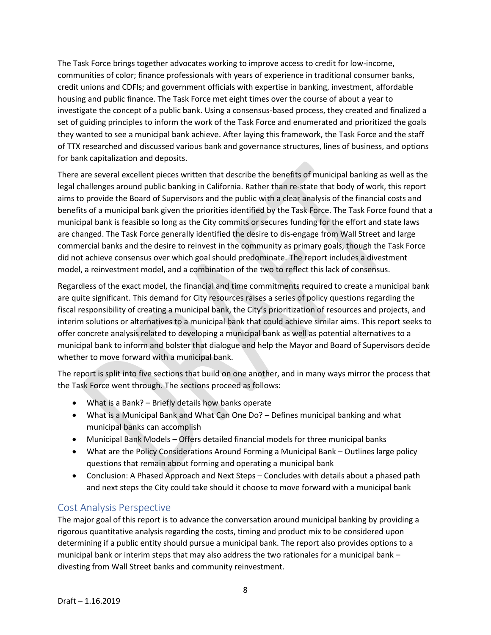The Task Force brings together advocates working to improve access to credit for low-income, communities of color; finance professionals with years of experience in traditional consumer banks, credit unions and CDFIs; and government officials with expertise in banking, investment, affordable housing and public finance. The Task Force met eight times over the course of about a year to investigate the concept of a public bank. Using a consensus-based process, they created and finalized a set of guiding principles to inform the work of the Task Force and enumerated and prioritized the goals they wanted to see a municipal bank achieve. After laying this framework, the Task Force and the staff of TTX researched and discussed various bank and governance structures, lines of business, and options for bank capitalization and deposits.

There are several excellent pieces written that describe the benefits of municipal banking as well as the legal challenges around public banking in California. Rather than re-state that body of work, this report aims to provide the Board of Supervisors and the public with a clear analysis of the financial costs and benefits of a municipal bank given the priorities identified by the Task Force. The Task Force found that a municipal bank is feasible so long as the City commits or secures funding for the effort and state laws are changed. The Task Force generally identified the desire to dis-engage from Wall Street and large commercial banks and the desire to reinvest in the community as primary goals, though the Task Force did not achieve consensus over which goal should predominate. The report includes a divestment model, a reinvestment model, and a combination of the two to reflect this lack of consensus.

Regardless of the exact model, the financial and time commitments required to create a municipal bank are quite significant. This demand for City resources raises a series of policy questions regarding the fiscal responsibility of creating a municipal bank, the City's prioritization of resources and projects, and interim solutions or alternatives to a municipal bank that could achieve similar aims. This report seeks to offer concrete analysis related to developing a municipal bank as well as potential alternatives to a municipal bank to inform and bolster that dialogue and help the Mayor and Board of Supervisors decide whether to move forward with a municipal bank.

The report is split into five sections that build on one another, and in many ways mirror the process that the Task Force went through. The sections proceed as follows:

- What is a Bank? Briefly details how banks operate
- What is a Municipal Bank and What Can One Do? Defines municipal banking and what municipal banks can accomplish
- Municipal Bank Models Offers detailed financial models for three municipal banks
- What are the Policy Considerations Around Forming a Municipal Bank Outlines large policy questions that remain about forming and operating a municipal bank
- Conclusion: A Phased Approach and Next Steps Concludes with details about a phased path and next steps the City could take should it choose to move forward with a municipal bank

### Cost Analysis Perspective

The major goal of this report is to advance the conversation around municipal banking by providing a rigorous quantitative analysis regarding the costs, timing and product mix to be considered upon determining if a public entity should pursue a municipal bank. The report also provides options to a municipal bank or interim steps that may also address the two rationales for a municipal bank – divesting from Wall Street banks and community reinvestment.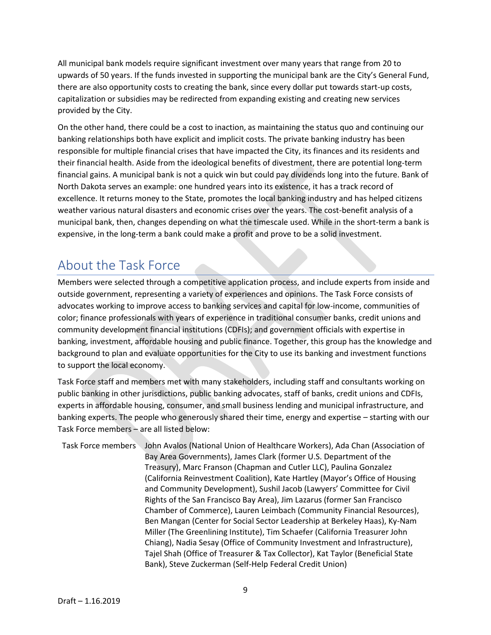All municipal bank models require significant investment over many years that range from 20 to upwards of 50 years. If the funds invested in supporting the municipal bank are the City's General Fund, there are also opportunity costs to creating the bank, since every dollar put towards start-up costs, capitalization or subsidies may be redirected from expanding existing and creating new services provided by the City.

On the other hand, there could be a cost to inaction, as maintaining the status quo and continuing our banking relationships both have explicit and implicit costs. The private banking industry has been responsible for multiple financial crises that have impacted the City, its finances and its residents and their financial health. Aside from the ideological benefits of divestment, there are potential long-term financial gains. A municipal bank is not a quick win but could pay dividends long into the future. Bank of North Dakota serves an example: one hundred years into its existence, it has a track record of excellence. It returns money to the State, promotes the local banking industry and has helped citizens weather various natural disasters and economic crises over the years. The cost-benefit analysis of a municipal bank, then, changes depending on what the timescale used. While in the short-term a bank is expensive, in the long-term a bank could make a profit and prove to be a solid investment.

# About the Task Force

Members were selected through a competitive application process, and include experts from inside and outside government, representing a variety of experiences and opinions. The Task Force consists of advocates working to improve access to banking services and capital for low-income, communities of color; finance professionals with years of experience in traditional consumer banks, credit unions and community development financial institutions (CDFIs); and government officials with expertise in banking, investment, affordable housing and public finance. Together, this group has the knowledge and background to plan and evaluate opportunities for the City to use its banking and investment functions to support the local economy.

Task Force staff and members met with many stakeholders, including staff and consultants working on public banking in other jurisdictions, public banking advocates, staff of banks, credit unions and CDFIs, experts in affordable housing, consumer, and small business lending and municipal infrastructure, and banking experts. The people who generously shared their time, energy and expertise – starting with our Task Force members – are all listed below:

Task Force members John Avalos (National Union of Healthcare Workers), Ada Chan (Association of Bay Area Governments), James Clark (former U.S. Department of the Treasury), Marc Franson (Chapman and Cutler LLC), Paulina Gonzalez (California Reinvestment Coalition), Kate Hartley (Mayor's Office of Housing and Community Development), Sushil Jacob (Lawyers' Committee for Civil Rights of the San Francisco Bay Area), Jim Lazarus (former San Francisco Chamber of Commerce), Lauren Leimbach (Community Financial Resources), Ben Mangan (Center for Social Sector Leadership at Berkeley Haas), Ky-Nam Miller (The Greenlining Institute), Tim Schaefer (California Treasurer John Chiang), Nadia Sesay (Office of Community Investment and Infrastructure), Tajel Shah (Office of Treasurer & Tax Collector), Kat Taylor (Beneficial State Bank), Steve Zuckerman (Self-Help Federal Credit Union)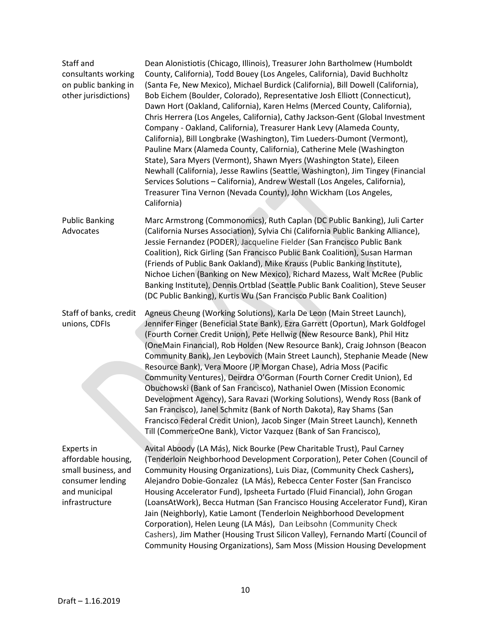| Staff and<br>consultants working<br>on public banking in<br>other jurisdictions)                                | Dean Alonistiotis (Chicago, Illinois), Treasurer John Bartholmew (Humboldt<br>County, California), Todd Bouey (Los Angeles, California), David Buchholtz<br>(Santa Fe, New Mexico), Michael Burdick (California), Bill Dowell (California),<br>Bob Eichem (Boulder, Colorado), Representative Josh Elliott (Connecticut),<br>Dawn Hort (Oakland, California), Karen Helms (Merced County, California),<br>Chris Herrera (Los Angeles, California), Cathy Jackson-Gent (Global Investment<br>Company - Oakland, California), Treasurer Hank Levy (Alameda County,<br>California), Bill Longbrake (Washington), Tim Lueders-Dumont (Vermont),<br>Pauline Marx (Alameda County, California), Catherine Mele (Washington<br>State), Sara Myers (Vermont), Shawn Myers (Washington State), Eileen<br>Newhall (California), Jesse Rawlins (Seattle, Washington), Jim Tingey (Financial<br>Services Solutions - California), Andrew Westall (Los Angeles, California),<br>Treasurer Tina Vernon (Nevada County), John Wickham (Los Angeles,<br>California) |
|-----------------------------------------------------------------------------------------------------------------|-----------------------------------------------------------------------------------------------------------------------------------------------------------------------------------------------------------------------------------------------------------------------------------------------------------------------------------------------------------------------------------------------------------------------------------------------------------------------------------------------------------------------------------------------------------------------------------------------------------------------------------------------------------------------------------------------------------------------------------------------------------------------------------------------------------------------------------------------------------------------------------------------------------------------------------------------------------------------------------------------------------------------------------------------------|
| <b>Public Banking</b><br>Advocates                                                                              | Marc Armstrong (Commonomics), Ruth Caplan (DC Public Banking), Juli Carter<br>(California Nurses Association), Sylvia Chi (California Public Banking Alliance),<br>Jessie Fernandez (PODER), Jacqueline Fielder (San Francisco Public Bank<br>Coalition), Rick Girling (San Francisco Public Bank Coalition), Susan Harman<br>(Friends of Public Bank Oakland), Mike Krauss (Public Banking Institute),<br>Nichoe Lichen (Banking on New Mexico), Richard Mazess, Walt McRee (Public<br>Banking Institute), Dennis Ortblad (Seattle Public Bank Coalition), Steve Seuser<br>(DC Public Banking), Kurtis Wu (San Francisco Public Bank Coalition)                                                                                                                                                                                                                                                                                                                                                                                                    |
| Staff of banks, credit<br>unions, CDFIs                                                                         | Agneus Cheung (Working Solutions), Karla De Leon (Main Street Launch),<br>Jennifer Finger (Beneficial State Bank), Ezra Garrett (Oportun), Mark Goldfogel<br>(Fourth Corner Credit Union), Pete Hellwig (New Resource Bank), Phil Hitz<br>(OneMain Financial), Rob Holden (New Resource Bank), Craig Johnson (Beacon<br>Community Bank), Jen Leybovich (Main Street Launch), Stephanie Meade (New<br>Resource Bank), Vera Moore (JP Morgan Chase), Adria Moss (Pacific<br>Community Ventures), Deirdra O'Gorman (Fourth Corner Credit Union), Ed<br>Obuchowski (Bank of San Francisco), Nathaniel Owen (Mission Economic<br>Development Agency), Sara Ravazi (Working Solutions), Wendy Ross (Bank of<br>San Francisco), Janel Schmitz (Bank of North Dakota), Ray Shams (San<br>Francisco Federal Credit Union), Jacob Singer (Main Street Launch), Kenneth<br>Till (CommerceOne Bank), Victor Vazquez (Bank of San Francisco),                                                                                                                    |
| Experts in<br>affordable housing,<br>small business, and<br>consumer lending<br>and municipal<br>infrastructure | Avital Aboody (LA Más), Nick Bourke (Pew Charitable Trust), Paul Carney<br>(Tenderloin Neighborhood Development Corporation), Peter Cohen (Council of<br>Community Housing Organizations), Luis Diaz, (Community Check Cashers),<br>Alejandro Dobie-Gonzalez (LA Más), Rebecca Center Foster (San Francisco<br>Housing Accelerator Fund), Ipsheeta Furtado (Fluid Financial), John Grogan<br>(LoansAtWork), Becca Hutman (San Francisco Housing Accelerator Fund), Kiran<br>Jain (Neighborly), Katie Lamont (Tenderloin Neighborhood Development<br>Corporation), Helen Leung (LA Más), Dan Leibsohn (Community Check<br>Cashers), Jim Mather (Housing Trust Silicon Valley), Fernando Martí (Council of<br>Community Housing Organizations), Sam Moss (Mission Housing Development                                                                                                                                                                                                                                                                 |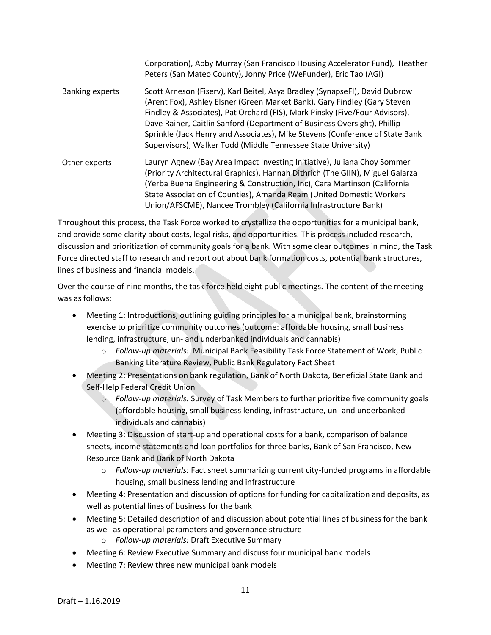|                        | Corporation), Abby Murray (San Francisco Housing Accelerator Fund), Heather<br>Peters (San Mateo County), Jonny Price (WeFunder), Eric Tao (AGI)                                                                                                                                                                                                                                                                                                                     |
|------------------------|----------------------------------------------------------------------------------------------------------------------------------------------------------------------------------------------------------------------------------------------------------------------------------------------------------------------------------------------------------------------------------------------------------------------------------------------------------------------|
| <b>Banking experts</b> | Scott Arneson (Fiserv), Karl Beitel, Asya Bradley (SynapseFI), David Dubrow<br>(Arent Fox), Ashley Elsner (Green Market Bank), Gary Findley (Gary Steven<br>Findley & Associates), Pat Orchard (FIS), Mark Pinsky (Five/Four Advisors),<br>Dave Rainer, Caitlin Sanford (Department of Business Oversight), Phillip<br>Sprinkle (Jack Henry and Associates), Mike Stevens (Conference of State Bank<br>Supervisors), Walker Todd (Middle Tennessee State University) |
| Other experts          | Lauryn Agnew (Bay Area Impact Investing Initiative), Juliana Choy Sommer<br>(Priority Architectural Graphics), Hannah Dithrich (The GIIN), Miguel Galarza<br>(Yerba Buena Engineering & Construction, Inc), Cara Martinson (California<br>State Association of Counties), Amanda Ream (United Domestic Workers<br>Union/AFSCME), Nancee Trombley (California Infrastructure Bank)                                                                                    |

Throughout this process, the Task Force worked to crystallize the opportunities for a municipal bank, and provide some clarity about costs, legal risks, and opportunities. This process included research, discussion and prioritization of community goals for a bank. With some clear outcomes in mind, the Task Force directed staff to research and report out about bank formation costs, potential bank structures, lines of business and financial models.

Over the course of nine months, the task force held eight public meetings. The content of the meeting was as follows:

- Meeting 1: Introductions, outlining guiding principles for a municipal bank, brainstorming exercise to prioritize community outcomes (outcome: affordable housing, small business lending, infrastructure, un- and underbanked individuals and cannabis)
	- o *Follow-up materials:* Municipal Bank Feasibility Task Force Statement of Work, Public Banking Literature Review, Public Bank Regulatory Fact Sheet
- Meeting 2: Presentations on bank regulation, Bank of North Dakota, Beneficial State Bank and Self-Help Federal Credit Union
	- o *Follow-up materials:* Survey of Task Members to further prioritize five community goals (affordable housing, small business lending, infrastructure, un- and underbanked individuals and cannabis)
- Meeting 3: Discussion of start-up and operational costs for a bank, comparison of balance sheets, income statements and loan portfolios for three banks, Bank of San Francisco, New Resource Bank and Bank of North Dakota
	- o *Follow-up materials:* Fact sheet summarizing current city-funded programs in affordable housing, small business lending and infrastructure
- Meeting 4: Presentation and discussion of options for funding for capitalization and deposits, as well as potential lines of business for the bank
- Meeting 5: Detailed description of and discussion about potential lines of business for the bank as well as operational parameters and governance structure
	- o *Follow-up materials:* Draft Executive Summary
- Meeting 6: Review Executive Summary and discuss four municipal bank models
- Meeting 7: Review three new municipal bank models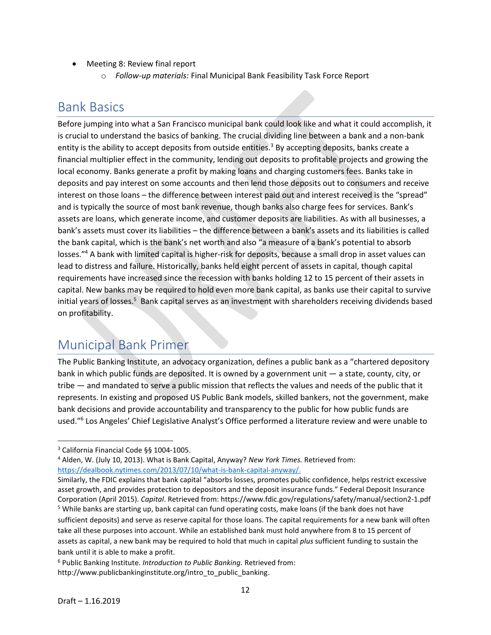- Meeting 8: Review final report
	- o *Follow-up materials:* Final Municipal Bank Feasibility Task Force Report

# Bank Basics

Before jumping into what a San Francisco municipal bank could look like and what it could accomplish, it is crucial to understand the basics of banking. The crucial dividing line between a bank and a non-bank entity is the ability to accept deposits from outside entities.<sup>3</sup> By accepting deposits, banks create a financial multiplier effect in the community, lending out deposits to profitable projects and growing the local economy. Banks generate a profit by making loans and charging customers fees. Banks take in deposits and pay interest on some accounts and then lend those deposits out to consumers and receive interest on those loans – the difference between interest paid out and interest received is the "spread" and is typically the source of most bank revenue, though banks also charge fees for services. Bank's assets are loans, which generate income, and customer deposits are liabilities. As with all businesses, a bank's assets must cover its liabilities – the difference between a bank's assets and its liabilities is called the bank capital, which is the bank's net worth and also "a measure of a bank's potential to absorb losses."<sup>4</sup> A bank with limited capital is higher-risk for deposits, because a small drop in asset values can lead to distress and failure. Historically, banks held eight percent of assets in capital, though capital requirements have increased since the recession with banks holding 12 to 15 percent of their assets in capital. New banks may be required to hold even more bank capital, as banks use their capital to survive initial years of losses.<sup>5</sup> Bank capital serves as an investment with shareholders receiving dividends based on profitability.

# Municipal Bank Primer

The Public Banking Institute, an advocacy organization, defines a public bank as a "chartered depository bank in which public funds are deposited. It is owned by a government unit — a state, county, city, or tribe — and mandated to serve a public mission that reflects the values and needs of the public that it represents. In existing and proposed US Public Bank models, skilled bankers, not the government, make bank decisions and provide accountability and transparency to the public for how public funds are used."<sup>6</sup> Los Angeles' Chief Legislative Analyst's Office performed a literature review and were unable to

 $\overline{a}$ 

<sup>3</sup> California Financial Code §§ 1004-1005.

<sup>4</sup> Alden, W. (July 10, 2013). What is Bank Capital, Anyway? *New York Times.* Retrieved from: [https://dealbook.nytimes.com/2013/07/10/what-is-bank-capital-anyway/.](https://dealbook.nytimes.com/2013/07/10/what-is-bank-capital-anyway/)

Similarly, the FDIC explains that bank capital "absorbs losses, promotes public confidence, helps restrict excessive asset growth, and provides protection to depositors and the deposit insurance funds." Federal Deposit Insurance Corporation (April 2015). *Capital*. Retrieved from: https://www.fdic.gov/regulations/safety/manual/section2-1.pdf <sup>5</sup> While banks are starting up, bank capital can fund operating costs, make loans (if the bank does not have sufficient deposits) and serve as reserve capital for those loans. The capital requirements for a new bank will often take all these purposes into account. While an established bank must hold anywhere from 8 to 15 percent of assets as capital, a new bank may be required to hold that much in capital *plus* sufficient funding to sustain the bank until it is able to make a profit.

<sup>6</sup> Public Banking Institute. *Introduction to Public Banking.* Retrieved from: http://www.publicbankinginstitute.org/intro\_to\_public\_banking.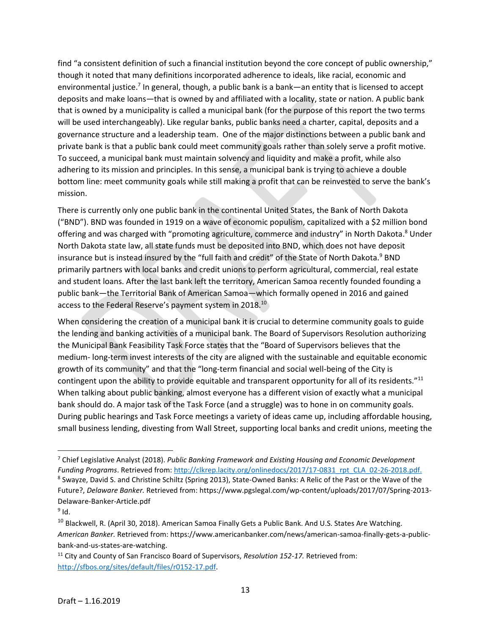find "a consistent definition of such a financial institution beyond the core concept of public ownership," though it noted that many definitions incorporated adherence to ideals, like racial, economic and environmental justice.<sup>7</sup> In general, though, a public bank is a bank—an entity that is licensed to accept deposits and make loans—that is owned by and affiliated with a locality, state or nation. A public bank that is owned by a municipality is called a municipal bank (for the purpose of this report the two terms will be used interchangeably). Like regular banks, public banks need a charter, capital, deposits and a governance structure and a leadership team. One of the major distinctions between a public bank and private bank is that a public bank could meet community goals rather than solely serve a profit motive. To succeed, a municipal bank must maintain solvency and liquidity and make a profit, while also adhering to its mission and principles. In this sense, a municipal bank is trying to achieve a double bottom line: meet community goals while still making a profit that can be reinvested to serve the bank's mission.

There is currently only one public bank in the continental United States, the Bank of North Dakota ("BND"). BND was founded in 1919 on a wave of economic populism, capitalized with a \$2 million bond offering and was charged with "promoting agriculture, commerce and industry" in North Dakota.<sup>8</sup> Under North Dakota state law, all state funds must be deposited into BND, which does not have deposit insurance but is instead insured by the "full faith and credit" of the State of North Dakota.<sup>9</sup> BND primarily partners with local banks and credit unions to perform agricultural, commercial, real estate and student loans. After the last bank left the territory, American Samoa recently founded founding a public bank—the Territorial Bank of American Samoa—which formally opened in 2016 and gained access to the Federal Reserve's payment system in 2018.<sup>10</sup>

When considering the creation of a municipal bank it is crucial to determine community goals to guide the lending and banking activities of a municipal bank. The Board of Supervisors Resolution authorizing the Municipal Bank Feasibility Task Force states that the "Board of Supervisors believes that the medium- long-term invest interests of the city are aligned with the sustainable and equitable economic growth of its community" and that the "long-term financial and social well-being of the City is contingent upon the ability to provide equitable and transparent opportunity for all of its residents."<sup>11</sup> When talking about public banking, almost everyone has a different vision of exactly what a municipal bank should do. A major task of the Task Force (and a struggle) was to hone in on community goals. During public hearings and Task Force meetings a variety of ideas came up, including affordable housing, small business lending, divesting from Wall Street, supporting local banks and credit unions, meeting the

<sup>7</sup> Chief Legislative Analyst (2018). *Public Banking Framework and Existing Housing and Economic Development Funding Programs*. Retrieved from: [http://clkrep.lacity.org/onlinedocs/2017/17-0831\\_rpt\\_CLA\\_02-26-2018.pdf.](http://clkrep.lacity.org/onlinedocs/2017/17-0831_rpt_CLA_02-26-2018.pdf) <sup>8</sup> Swayze, David S. and Christine Schiltz (Spring 2013), State-Owned Banks: A Relic of the Past or the Wave of the

Future?, *Delaware Banker.* Retrieved from: https://www.pgslegal.com/wp-content/uploads/2017/07/Spring-2013- Delaware-Banker-Article.pdf

 $9$  Id.

<sup>&</sup>lt;sup>10</sup> Blackwell, R. (April 30, 2018). American Samoa Finally Gets a Public Bank. And U.S. States Are Watching. *American Banker.* Retrieved from: https://www.americanbanker.com/news/american-samoa-finally-gets-a-publicbank-and-us-states-are-watching.

<sup>11</sup> City and County of San Francisco Board of Supervisors, *Resolution 152-17.* Retrieved from: [http://sfbos.org/sites/default/files/r0152-17.pdf.](http://sfbos.org/sites/default/files/r0152-17.pdf)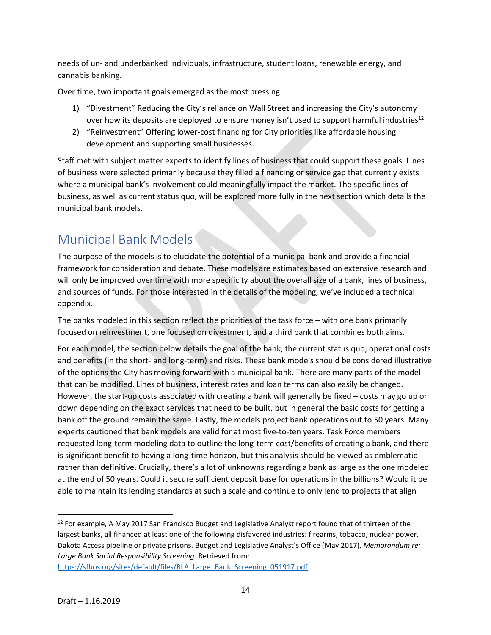needs of un- and underbanked individuals, infrastructure, student loans, renewable energy, and cannabis banking.

Over time, two important goals emerged as the most pressing:

- 1) "Divestment" Reducing the City's reliance on Wall Street and increasing the City's autonomy over how its deposits are deployed to ensure money isn't used to support harmful industries<sup>12</sup>
- 2) "Reinvestment" Offering lower-cost financing for City priorities like affordable housing development and supporting small businesses.

Staff met with subject matter experts to identify lines of business that could support these goals. Lines of business were selected primarily because they filled a financing or service gap that currently exists where a municipal bank's involvement could meaningfully impact the market. The specific lines of business, as well as current status quo, will be explored more fully in the next section which details the municipal bank models.

# Municipal Bank Models

The purpose of the models is to elucidate the potential of a municipal bank and provide a financial framework for consideration and debate. These models are estimates based on extensive research and will only be improved over time with more specificity about the overall size of a bank, lines of business, and sources of funds. For those interested in the details of the modeling, we've included a technical appendix.

The banks modeled in this section reflect the priorities of the task force – with one bank primarily focused on reinvestment, one focused on divestment, and a third bank that combines both aims.

For each model, the section below details the goal of the bank, the current status quo, operational costs and benefits (in the short- and long-term) and risks. These bank models should be considered illustrative of the options the City has moving forward with a municipal bank. There are many parts of the model that can be modified. Lines of business, interest rates and loan terms can also easily be changed. However, the start-up costs associated with creating a bank will generally be fixed – costs may go up or down depending on the exact services that need to be built, but in general the basic costs for getting a bank off the ground remain the same. Lastly, the models project bank operations out to 50 years. Many experts cautioned that bank models are valid for at most five-to-ten years. Task Force members requested long-term modeling data to outline the long-term cost/benefits of creating a bank, and there is significant benefit to having a long-time horizon, but this analysis should be viewed as emblematic rather than definitive. Crucially, there's a lot of unknowns regarding a bank as large as the one modeled at the end of 50 years. Could it secure sufficient deposit base for operations in the billions? Would it be able to maintain its lending standards at such a scale and continue to only lend to projects that align

 $\overline{\phantom{a}}$ <sup>12</sup> For example, A May 2017 San Francisco Budget and Legislative Analyst report found that of thirteen of the largest banks, all financed at least one of the following disfavored industries: firearms, tobacco, nuclear power, Dakota Access pipeline or private prisons. Budget and Legislative Analyst's Office (May 2017). *Memorandum re: Large Bank Social Responsibility Screening.* Retrieved from:

[https://sfbos.org/sites/default/files/BLA\\_Large\\_Bank\\_Screening\\_051917.pdf.](https://sfbos.org/sites/default/files/BLA_Large_Bank_Screening_051917.pdf)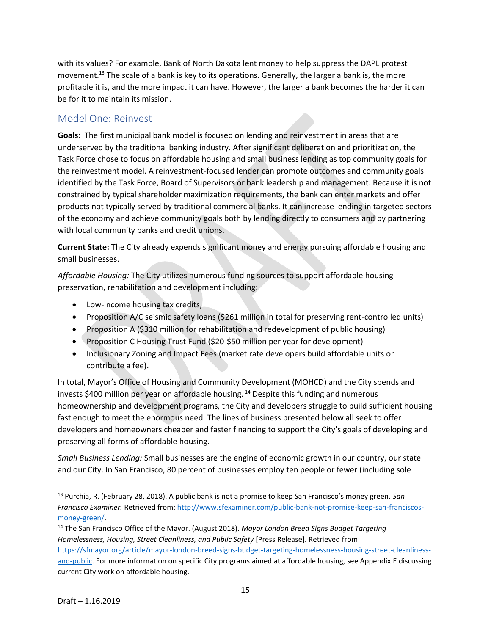with its values? For example, Bank of North Dakota lent money to help suppress the DAPL protest movement.<sup>13</sup> The scale of a bank is key to its operations. Generally, the larger a bank is, the more profitable it is, and the more impact it can have. However, the larger a bank becomes the harder it can be for it to maintain its mission.

### Model One: Reinvest

**Goals:** The first municipal bank model is focused on lending and reinvestment in areas that are underserved by the traditional banking industry. After significant deliberation and prioritization, the Task Force chose to focus on affordable housing and small business lending as top community goals for the reinvestment model. A reinvestment-focused lender can promote outcomes and community goals identified by the Task Force, Board of Supervisors or bank leadership and management. Because it is not constrained by typical shareholder maximization requirements, the bank can enter markets and offer products not typically served by traditional commercial banks. It can increase lending in targeted sectors of the economy and achieve community goals both by lending directly to consumers and by partnering with local community banks and credit unions.

**Current State:** The City already expends significant money and energy pursuing affordable housing and small businesses.

*Affordable Housing:* The City utilizes numerous funding sources to support affordable housing preservation, rehabilitation and development including:

- Low-income housing tax credits,
- Proposition A/C seismic safety loans (\$261 million in total for preserving rent-controlled units)
- Proposition A (\$310 million for rehabilitation and redevelopment of public housing)
- Proposition C Housing Trust Fund (\$20-\$50 million per year for development)
- Inclusionary Zoning and Impact Fees (market rate developers build affordable units or contribute a fee).

In total, Mayor's Office of Housing and Community Development (MOHCD) and the City spends and invests \$400 million per year on affordable housing. <sup>14</sup> Despite this funding and numerous homeownership and development programs, the City and developers struggle to build sufficient housing fast enough to meet the enormous need. The lines of business presented below all seek to offer developers and homeowners cheaper and faster financing to support the City's goals of developing and preserving all forms of affordable housing.

*Small Business Lending:* Small businesses are the engine of economic growth in our country, our state and our City. In San Francisco, 80 percent of businesses employ ten people or fewer (including sole

 $\overline{a}$ 

<sup>13</sup> Purchia, R. (February 28, 2018). A public bank is not a promise to keep San Francisco's money green. *San Francisco Examiner.* Retrieved from: [http://www.sfexaminer.com/public-bank-not-promise-keep-san-franciscos](http://www.sfexaminer.com/public-bank-not-promise-keep-san-franciscos-money-green/)[money-green/.](http://www.sfexaminer.com/public-bank-not-promise-keep-san-franciscos-money-green/)

<sup>14</sup> The San Francisco Office of the Mayor. (August 2018). *Mayor London Breed Signs Budget Targeting Homelessness, Housing, Street Cleanliness, and Public Safety* [Press Release]. Retrieved from: [https://sfmayor.org/article/mayor-london-breed-signs-budget-targeting-homelessness-housing-street-cleanliness](https://sfmayor.org/article/mayor-london-breed-signs-budget-targeting-homelessness-housing-street-cleanliness-and-public)[and-public.](https://sfmayor.org/article/mayor-london-breed-signs-budget-targeting-homelessness-housing-street-cleanliness-and-public) For more information on specific City programs aimed at affordable housing, see Appendix E discussing current City work on affordable housing.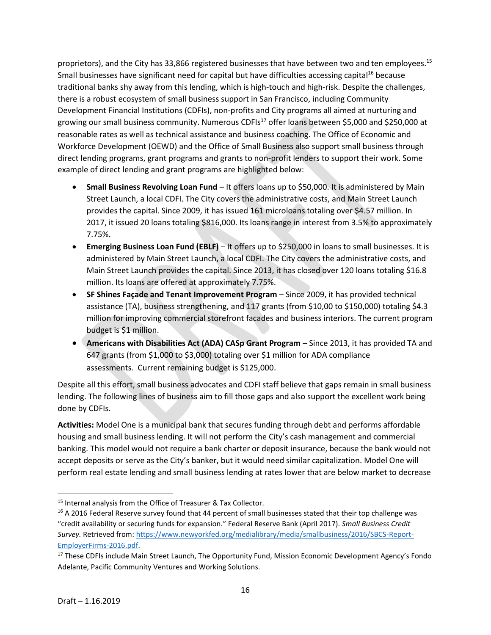proprietors), and the City has 33,866 registered businesses that have between two and ten employees.<sup>15</sup> Small businesses have significant need for capital but have difficulties accessing capital<sup>16</sup> because traditional banks shy away from this lending, which is high-touch and high-risk. Despite the challenges, there is a robust ecosystem of small business support in San Francisco, including Community Development Financial Institutions (CDFIs), non-profits and City programs all aimed at nurturing and growing our small business community. Numerous CDFIs<sup>17</sup> offer loans between \$5,000 and \$250,000 at reasonable rates as well as technical assistance and business coaching. The Office of Economic and Workforce Development (OEWD) and the Office of Small Business also support small business through direct lending programs, grant programs and grants to non-profit lenders to support their work. Some example of direct lending and grant programs are highlighted below:

- **Small Business Revolving Loan Fund** It offers loans up to \$50,000. It is administered by Main Street Launch, a local CDFI. The City covers the administrative costs, and Main Street Launch provides the capital. Since 2009, it has issued 161 microloans totaling over \$4.57 million. In 2017, it issued 20 loans totaling \$816,000. Its loans range in interest from 3.5% to approximately 7.75%.
- **Emerging Business Loan Fund (EBLF)** It offers up to \$250,000 in loans to small businesses. It is administered by Main Street Launch, a local CDFI. The City covers the administrative costs, and Main Street Launch provides the capital. Since 2013, it has closed over 120 loans totaling \$16.8 million. Its loans are offered at approximately 7.75%.
- **SF Shines Façade and Tenant Improvement Program** Since 2009, it has provided technical assistance (TA), business strengthening, and 117 grants (from \$10,00 to \$150,000) totaling \$4.3 million for improving commercial storefront facades and business interiors. The current program budget is \$1 million.
- **Americans with Disabilities Act (ADA) CASp Grant Program** Since 2013, it has provided TA and 647 grants (from \$1,000 to \$3,000) totaling over \$1 million for ADA compliance assessments. Current remaining budget is \$125,000.

Despite all this effort, small business advocates and CDFI staff believe that gaps remain in small business lending. The following lines of business aim to fill those gaps and also support the excellent work being done by CDFIs.

**Activities:** Model One is a municipal bank that secures funding through debt and performs affordable housing and small business lending. It will not perform the City's cash management and commercial banking. This model would not require a bank charter or deposit insurance, because the bank would not accept deposits or serve as the City's banker, but it would need similar capitalization. Model One will perform real estate lending and small business lending at rates lower that are below market to decrease

l <sup>15</sup> Internal analysis from the Office of Treasurer & Tax Collector.

<sup>&</sup>lt;sup>16</sup> A 2016 Federal Reserve survey found that 44 percent of small businesses stated that their top challenge was "credit availability or securing funds for expansion." Federal Reserve Bank (April 2017). *Small Business Credit Survey.* Retrieved from: [https://www.newyorkfed.org/medialibrary/media/smallbusiness/2016/SBCS-Report-](https://www.newyorkfed.org/medialibrary/media/smallbusiness/2016/SBCS-Report-EmployerFirms-2016.pdf)[EmployerFirms-2016.pdf.](https://www.newyorkfed.org/medialibrary/media/smallbusiness/2016/SBCS-Report-EmployerFirms-2016.pdf) 

<sup>&</sup>lt;sup>17</sup> These CDFIs include Main Street Launch, The Opportunity Fund, Mission Economic Development Agency's Fondo Adelante, Pacific Community Ventures and Working Solutions.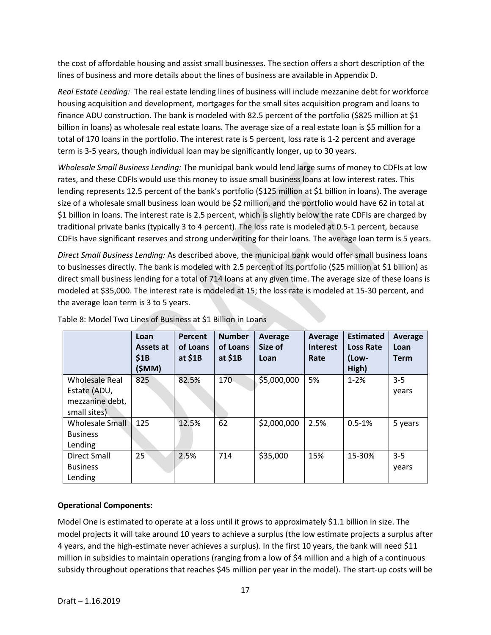the cost of affordable housing and assist small businesses. The section offers a short description of the lines of business and more details about the lines of business are available in Appendix D.

*Real Estate Lending:* The real estate lending lines of business will include mezzanine debt for workforce housing acquisition and development, mortgages for the small sites acquisition program and loans to finance ADU construction. The bank is modeled with 82.5 percent of the portfolio (\$825 million at \$1 billion in loans) as wholesale real estate loans. The average size of a real estate loan is \$5 million for a total of 170 loans in the portfolio. The interest rate is 5 percent, loss rate is 1-2 percent and average term is 3-5 years, though individual loan may be significantly longer, up to 30 years.

*Wholesale Small Business Lending:* The municipal bank would lend large sums of money to CDFIs at low rates, and these CDFIs would use this money to issue small business loans at low interest rates. This lending represents 12.5 percent of the bank's portfolio (\$125 million at \$1 billion in loans). The average size of a wholesale small business loan would be \$2 million, and the portfolio would have 62 in total at \$1 billion in loans. The interest rate is 2.5 percent, which is slightly below the rate CDFIs are charged by traditional private banks (typically 3 to 4 percent). The loss rate is modeled at 0.5-1 percent, because CDFIs have significant reserves and strong underwriting for their loans. The average loan term is 5 years.

*Direct Small Business Lending:* As described above, the municipal bank would offer small business loans to businesses directly. The bank is modeled with 2.5 percent of its portfolio (\$25 million at \$1 billion) as direct small business lending for a total of 714 loans at any given time. The average size of these loans is modeled at \$35,000. The interest rate is modeled at 15; the loss rate is modeled at 15-30 percent, and the average loan term is 3 to 5 years.

|                                 | Loan<br>Assets at<br>\$1B<br>(\$MM) | Percent<br>of Loans<br>at $$1B$ | <b>Number</b><br>of Loans<br>at $$1B$ | Average<br>Size of<br>Loan | Average<br><b>Interest</b><br>Rate | <b>Estimated</b><br><b>Loss Rate</b><br>(Low-<br>High) | Average<br>Loan<br><b>Term</b> |
|---------------------------------|-------------------------------------|---------------------------------|---------------------------------------|----------------------------|------------------------------------|--------------------------------------------------------|--------------------------------|
| Wholesale Real                  | 825                                 | 82.5%                           | 170                                   | \$5,000,000                | 5%                                 | $1 - 2%$                                               | $3-5$                          |
| Estate (ADU,<br>mezzanine debt, |                                     |                                 |                                       |                            |                                    |                                                        | years                          |
| small sites)                    |                                     |                                 |                                       |                            |                                    |                                                        |                                |
| <b>Wholesale Small</b>          | 125                                 | 12.5%                           | 62                                    | \$2,000,000                | 2.5%                               | $0.5 - 1%$                                             | 5 years                        |
| <b>Business</b>                 |                                     |                                 |                                       |                            |                                    |                                                        |                                |
| Lending                         |                                     |                                 |                                       |                            |                                    |                                                        |                                |
| Direct Small                    | 25                                  | 2.5%                            | 714                                   | \$35,000                   | 15%                                | 15-30%                                                 | $3 - 5$                        |
| <b>Business</b>                 |                                     |                                 |                                       |                            |                                    |                                                        | years                          |
| Lending                         |                                     |                                 |                                       |                            |                                    |                                                        |                                |

Table 8: Model Two Lines of Business at \$1 Billion in Loans

#### **Operational Components:**

Model One is estimated to operate at a loss until it grows to approximately \$1.1 billion in size. The model projects it will take around 10 years to achieve a surplus (the low estimate projects a surplus after 4 years, and the high-estimate never achieves a surplus). In the first 10 years, the bank will need \$11 million in subsidies to maintain operations (ranging from a low of \$4 million and a high of a continuous subsidy throughout operations that reaches \$45 million per year in the model). The start-up costs will be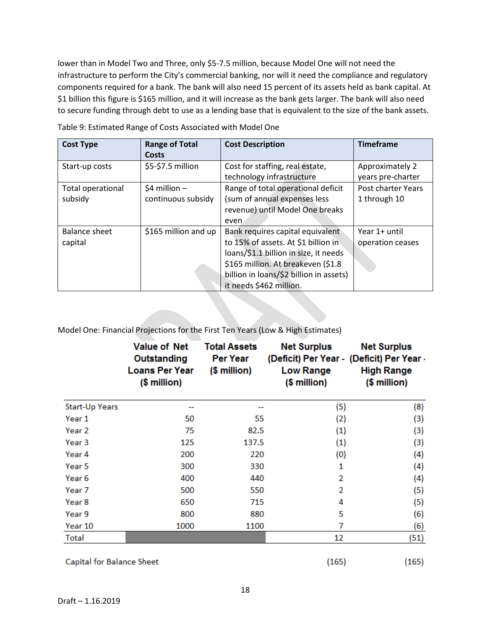lower than in Model Two and Three, only \$5-7.5 million, because Model One will not need the infrastructure to perform the City's commercial banking, nor will it need the compliance and regulatory components required for a bank. The bank will also need 15 percent of its assets held as bank capital. At \$1 billion this figure is \$165 million, and it will increase as the bank gets larger. The bank will also need to secure funding through debt to use as a lending base that is equivalent to the size of the bank assets.

| <b>Cost Type</b>  | <b>Range of Total</b> | <b>Cost Description</b>                 | <b>Timeframe</b>   |
|-------------------|-----------------------|-----------------------------------------|--------------------|
|                   | Costs                 |                                         |                    |
| Start-up costs    | \$5-\$7.5 million     | Cost for staffing, real estate,         | Approximately 2    |
|                   |                       | technology infrastructure               | years pre-charter  |
| Total operational | $$4$ million -        | Range of total operational deficit      | Post charter Years |
| subsidy           | continuous subsidy    | (sum of annual expenses less            | 1 through 10       |
|                   |                       | revenue) until Model One breaks         |                    |
|                   |                       | even.                                   |                    |
| Balance sheet     | \$165 million and up  | Bank requires capital equivalent        | Year 1+ until      |
| capital           |                       | to 15% of assets. At \$1 billion in     | operation ceases   |
|                   |                       | loans/\$1.1 billion in size, it needs   |                    |
|                   |                       | \$165 million. At breakeven (\$1.8      |                    |
|                   |                       | billion in loans/\$2 billion in assets) |                    |
|                   |                       | it needs \$462 million.                 |                    |

Table 9: Estimated Range of Costs Associated with Model One

Model One: Financial Projections for the First Ten Years (Low & High Estimates)

|                       | <b>Value of Net</b><br>Outstanding<br><b>Loans Per Year</b><br>(\$ million) | <b>Total Assets</b><br><b>Per Year</b><br>$$$ million) | <b>Net Surplus</b><br>(Deficit) Per Year - (Deficit) Per Year -<br><b>Low Range</b><br>(\$ million) | <b>Net Surplus</b><br><b>High Range</b><br>$$$ million) |
|-----------------------|-----------------------------------------------------------------------------|--------------------------------------------------------|-----------------------------------------------------------------------------------------------------|---------------------------------------------------------|
| <b>Start-Up Years</b> |                                                                             |                                                        | (5)                                                                                                 | (8)                                                     |
| Year 1                | 50                                                                          | 55                                                     | (2)                                                                                                 | (3)                                                     |
| Year 2                | 75                                                                          | 82.5                                                   | $\left( 1 \right)$                                                                                  | (3)                                                     |
| Year 3                | 125                                                                         | 137.5                                                  | (1)                                                                                                 | $\left(3\right)$                                        |
| Year 4                | 200                                                                         | 220                                                    | (0)                                                                                                 | (4)                                                     |
| Year 5                | 300                                                                         | 330                                                    | 1                                                                                                   | $\left( 4\right)$                                       |
| Year 6                | 400                                                                         | 440                                                    | 2                                                                                                   | (4)                                                     |
| Year 7                | 500                                                                         | 550                                                    | 2                                                                                                   | (5)                                                     |
| Year 8                | 650                                                                         | 715                                                    | 4                                                                                                   | (5)                                                     |
| Year 9                | 800                                                                         | 880                                                    | 5                                                                                                   | (6)                                                     |
| Year 10               | 1000                                                                        | 1100                                                   | 7                                                                                                   | (6)                                                     |
| Total                 |                                                                             |                                                        | 12                                                                                                  | (51)                                                    |

**Capital for Balance Sheet** 

 $(165)$ 

 $(165)$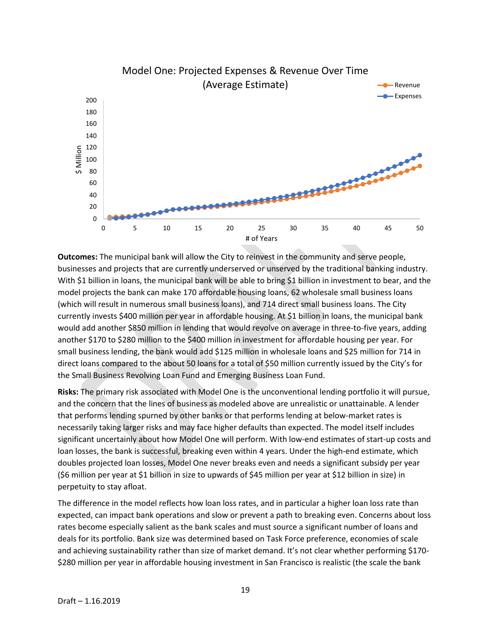

**Outcomes:** The municipal bank will allow the City to reinvest in the community and serve people, businesses and projects that are currently underserved or unserved by the traditional banking industry. With \$1 billion in loans, the municipal bank will be able to bring \$1 billion in investment to bear, and the model projects the bank can make 170 affordable housing loans, 62 wholesale small business loans (which will result in numerous small business loans), and 714 direct small business loans. The City currently invests \$400 million per year in affordable housing. At \$1 billion in loans, the municipal bank would add another \$850 million in lending that would revolve on average in three-to-five years, adding another \$170 to \$280 million to the \$400 million in investment for affordable housing per year. For small business lending, the bank would add \$125 million in wholesale loans and \$25 million for 714 in direct loans compared to the about 50 loans for a total of \$50 million currently issued by the City's for the Small Business Revolving Loan Fund and Emerging Business Loan Fund.

**Risks:** The primary risk associated with Model One is the unconventional lending portfolio it will pursue, and the concern that the lines of business as modeled above are unrealistic or unattainable. A lender that performs lending spurned by other banks or that performs lending at below-market rates is necessarily taking larger risks and may face higher defaults than expected. The model itself includes significant uncertainly about how Model One will perform. With low-end estimates of start-up costs and loan losses, the bank is successful, breaking even within 4 years. Under the high-end estimate, which doubles projected loan losses, Model One never breaks even and needs a significant subsidy per year (\$6 million per year at \$1 billion in size to upwards of \$45 million per year at \$12 billion in size) in perpetuity to stay afloat.

The difference in the model reflects how loan loss rates, and in particular a higher loan loss rate than expected, can impact bank operations and slow or prevent a path to breaking even. Concerns about loss rates become especially salient as the bank scales and must source a significant number of loans and deals for its portfolio. Bank size was determined based on Task Force preference, economies of scale and achieving sustainability rather than size of market demand. It's not clear whether performing \$170- \$280 million per year in affordable housing investment in San Francisco is realistic (the scale the bank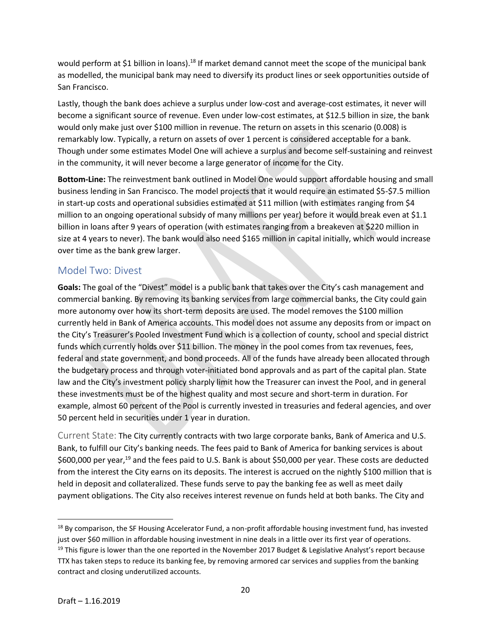would perform at \$1 billion in loans).<sup>18</sup> If market demand cannot meet the scope of the municipal bank as modelled, the municipal bank may need to diversify its product lines or seek opportunities outside of San Francisco.

Lastly, though the bank does achieve a surplus under low-cost and average-cost estimates, it never will become a significant source of revenue. Even under low-cost estimates, at \$12.5 billion in size, the bank would only make just over \$100 million in revenue. The return on assets in this scenario (0.008) is remarkably low. Typically, a return on assets of over 1 percent is considered acceptable for a bank. Though under some estimates Model One will achieve a surplus and become self-sustaining and reinvest in the community, it will never become a large generator of income for the City.

**Bottom-Line:** The reinvestment bank outlined in Model One would support affordable housing and small business lending in San Francisco. The model projects that it would require an estimated \$5-\$7.5 million in start-up costs and operational subsidies estimated at \$11 million (with estimates ranging from \$4 million to an ongoing operational subsidy of many millions per year) before it would break even at \$1.1 billion in loans after 9 years of operation (with estimates ranging from a breakeven at \$220 million in size at 4 years to never). The bank would also need \$165 million in capital initially, which would increase over time as the bank grew larger.

#### Model Two: Divest

**Goals:** The goal of the "Divest" model is a public bank that takes over the City's cash management and commercial banking. By removing its banking services from large commercial banks, the City could gain more autonomy over how its short-term deposits are used. The model removes the \$100 million currently held in Bank of America accounts. This model does not assume any deposits from or impact on the City's Treasurer's Pooled Investment Fund which is a collection of county, school and special district funds which currently holds over \$11 billion. The money in the pool comes from tax revenues, fees, federal and state government, and bond proceeds. All of the funds have already been allocated through the budgetary process and through voter-initiated bond approvals and as part of the capital plan. State law and the City's investment policy sharply limit how the Treasurer can invest the Pool, and in general these investments must be of the highest quality and most secure and short-term in duration. For example, almost 60 percent of the Pool is currently invested in treasuries and federal agencies, and over 50 percent held in securities under 1 year in duration.

Current State: The City currently contracts with two large corporate banks, Bank of America and U.S. Bank, to fulfill our City's banking needs. The fees paid to Bank of America for banking services is about \$600,000 per year,<sup>19</sup> and the fees paid to U.S. Bank is about \$50,000 per year. These costs are deducted from the interest the City earns on its deposits. The interest is accrued on the nightly \$100 million that is held in deposit and collateralized. These funds serve to pay the banking fee as well as meet daily payment obligations. The City also receives interest revenue on funds held at both banks. The City and

<sup>&</sup>lt;sup>18</sup> By comparison, the SF Housing Accelerator Fund, a non-profit affordable housing investment fund, has invested just over \$60 million in affordable housing investment in nine deals in a little over its first year of operations.  $19$  This figure is lower than the one reported in the November 2017 Budget & Legislative Analyst's report because TTX has taken steps to reduce its banking fee, by removing armored car services and supplies from the banking contract and closing underutilized accounts.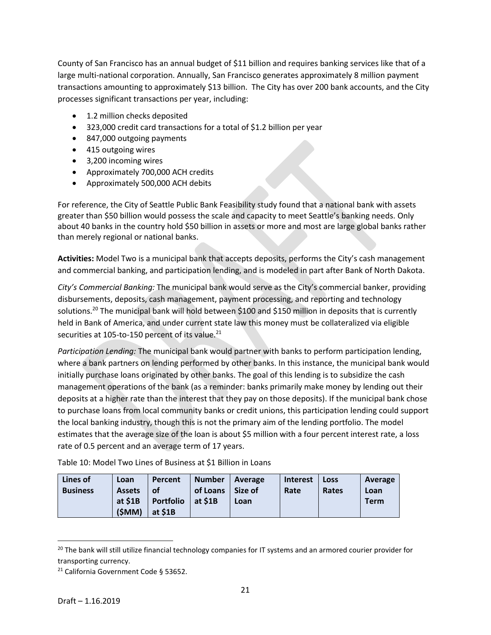County of San Francisco has an annual budget of \$11 billion and requires banking services like that of a large multi-national corporation. Annually, San Francisco generates approximately 8 million payment transactions amounting to approximately \$13 billion. The City has over 200 bank accounts, and the City processes significant transactions per year, including:

- 1.2 million checks deposited
- 323,000 credit card transactions for a total of \$1.2 billion per year
- 847,000 outgoing payments
- 415 outgoing wires
- 3,200 incoming wires
- Approximately 700,000 ACH credits
- Approximately 500,000 ACH debits

For reference, the City of Seattle Public Bank Feasibility study found that a national bank with assets greater than \$50 billion would possess the scale and capacity to meet Seattle's banking needs. Only about 40 banks in the country hold \$50 billion in assets or more and most are large global banks rather than merely regional or national banks.

**Activities:** Model Two is a municipal bank that accepts deposits, performs the City's cash management and commercial banking, and participation lending, and is modeled in part after Bank of North Dakota.

*City's Commercial Banking:* The municipal bank would serve as the City's commercial banker, providing disbursements, deposits, cash management, payment processing, and reporting and technology solutions.<sup>20</sup> The municipal bank will hold between \$100 and \$150 million in deposits that is currently held in Bank of America, and under current state law this money must be collateralized via eligible securities at 105-to-150 percent of its value.<sup>21</sup>

*Participation Lending:* The municipal bank would partner with banks to perform participation lending, where a bank partners on lending performed by other banks. In this instance, the municipal bank would initially purchase loans originated by other banks. The goal of this lending is to subsidize the cash management operations of the bank (as a reminder: banks primarily make money by lending out their deposits at a higher rate than the interest that they pay on those deposits). If the municipal bank chose to purchase loans from local community banks or credit unions, this participation lending could support the local banking industry, though this is not the primary aim of the lending portfolio. The model estimates that the average size of the loan is about \$5 million with a four percent interest rate, a loss rate of 0.5 percent and an average term of 17 years.

Table 10: Model Two Lines of Business at \$1 Billion in Loans

| Lines of        | Loan          | Percent          | <b>Number</b> | Average | <b>Interest</b> | <b>Loss</b> | Average     |
|-----------------|---------------|------------------|---------------|---------|-----------------|-------------|-------------|
| <b>Business</b> | <b>Assets</b> | <b>of</b>        | of Loans      | Size of | Rate            | Rates       | Loan        |
|                 | at \$1B       | <b>Portfolio</b> | $ $ at \$1B   | Loan    |                 |             | <b>Term</b> |
|                 | (SMM)         | at $$1B$         |               |         |                 |             |             |

<sup>&</sup>lt;sup>20</sup> The bank will still utilize financial technology companies for IT systems and an armored courier provider for transporting currency.

 $\overline{a}$ 

<sup>21</sup> California Government Code § 53652.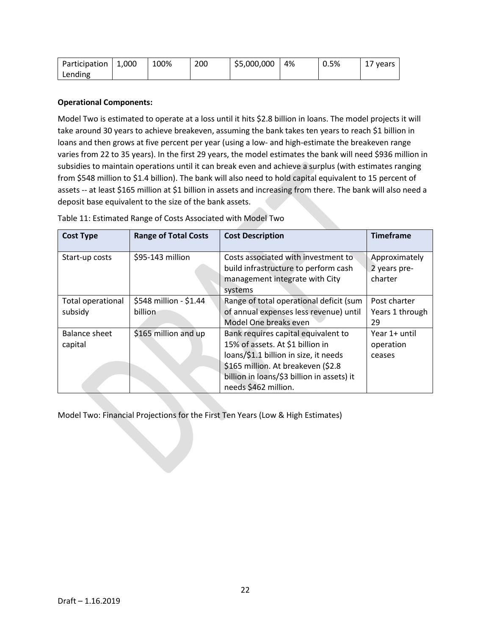| Participation   1,000 | 100% | 200 | \$5,000,000 | 4% | 0.5% | 17 years |
|-----------------------|------|-----|-------------|----|------|----------|
| Lending               |      |     |             |    |      |          |

#### **Operational Components:**

Model Two is estimated to operate at a loss until it hits \$2.8 billion in loans. The model projects it will take around 30 years to achieve breakeven, assuming the bank takes ten years to reach \$1 billion in loans and then grows at five percent per year (using a low- and high-estimate the breakeven range varies from 22 to 35 years). In the first 29 years, the model estimates the bank will need \$936 million in subsidies to maintain operations until it can break even and achieve a surplus (with estimates ranging from \$548 million to \$1.4 billion). The bank will also need to hold capital equivalent to 15 percent of assets -- at least \$165 million at \$1 billion in assets and increasing from there. The bank will also need a deposit base equivalent to the size of the bank assets.

| <b>Cost Type</b>                    | <b>Range of Total Costs</b>       | <b>Cost Description</b>                                                                                                                                                                                                       | <b>Timeframe</b>                         |
|-------------------------------------|-----------------------------------|-------------------------------------------------------------------------------------------------------------------------------------------------------------------------------------------------------------------------------|------------------------------------------|
| Start-up costs                      | \$95-143 million                  | Costs associated with investment to<br>build infrastructure to perform cash<br>management integrate with City<br>systems                                                                                                      | Approximately<br>2 years pre-<br>charter |
| <b>Total operational</b><br>subsidy | \$548 million - \$1.44<br>billion | Range of total operational deficit (sum<br>of annual expenses less revenue) until<br>Model One breaks even                                                                                                                    | Post charter<br>Years 1 through<br>29    |
| Balance sheet<br>capital            | \$165 million and up              | Bank requires capital equivalent to<br>15% of assets. At \$1 billion in<br>loans/\$1.1 billion in size, it needs<br>\$165 million. At breakeven (\$2.8)<br>billion in loans/\$3 billion in assets) it<br>needs \$462 million. | Year 1+ until<br>operation<br>ceases     |

Table 11: Estimated Range of Costs Associated with Model Two

Model Two: Financial Projections for the First Ten Years (Low & High Estimates)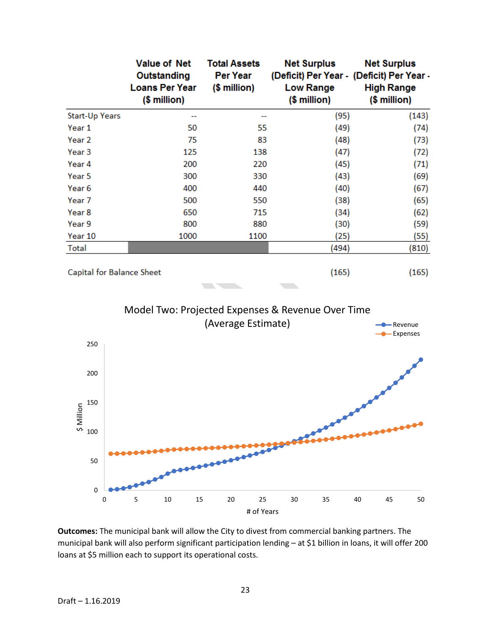|                           | <b>Value of Net</b><br>Outstanding<br><b>Loans Per Year</b><br>$$$ million) | <b>Total Assets</b><br><b>Per Year</b><br>$$$ million) | <b>Net Surplus</b><br>(Deficit) Per Year - (Deficit) Per Year -<br><b>Low Range</b><br>$$$ million) | <b>Net Surplus</b><br><b>High Range</b><br>(\$ million) |
|---------------------------|-----------------------------------------------------------------------------|--------------------------------------------------------|-----------------------------------------------------------------------------------------------------|---------------------------------------------------------|
| Start-Up Years            |                                                                             |                                                        | (95)                                                                                                | (143)                                                   |
| Year 1                    | 50                                                                          | 55                                                     | (49)                                                                                                | (74)                                                    |
| Year 2                    | 75                                                                          | 83                                                     | (48)                                                                                                | (73)                                                    |
| Year <sub>3</sub>         | 125                                                                         | 138                                                    | (47)                                                                                                | (72)                                                    |
| Year 4                    | 200                                                                         | 220                                                    | (45)                                                                                                | (71)                                                    |
| Year 5                    | 300                                                                         | 330                                                    | (43)                                                                                                | (69)                                                    |
| Year 6                    | 400                                                                         | 440                                                    | (40)                                                                                                | (67)                                                    |
| Year 7                    | 500                                                                         | 550                                                    | (38)                                                                                                | (65)                                                    |
| Year 8                    | 650                                                                         | 715                                                    | (34)                                                                                                | (62)                                                    |
| Year 9                    | 800                                                                         | 880                                                    | (30)                                                                                                | (59)                                                    |
| Year 10                   | 1000                                                                        | 1100                                                   | (25)                                                                                                | (55)                                                    |
| Total                     |                                                                             |                                                        | (494)                                                                                               | (810)                                                   |
| Capital for Balance Sheet |                                                                             |                                                        | (165)                                                                                               | (165)                                                   |

Model Two: Projected Expenses & Revenue Over Time (Average Estimate) **Access Access Access Access Access Access Access Access Access Access Access Access Access Access Access Access Access Access Access Access Access Access Acce** 

**CONTRACTOR** 



**Outcomes:** The municipal bank will allow the City to divest from commercial banking partners. The municipal bank will also perform significant participation lending – at \$1 billion in loans, it will offer 200 loans at \$5 million each to support its operational costs.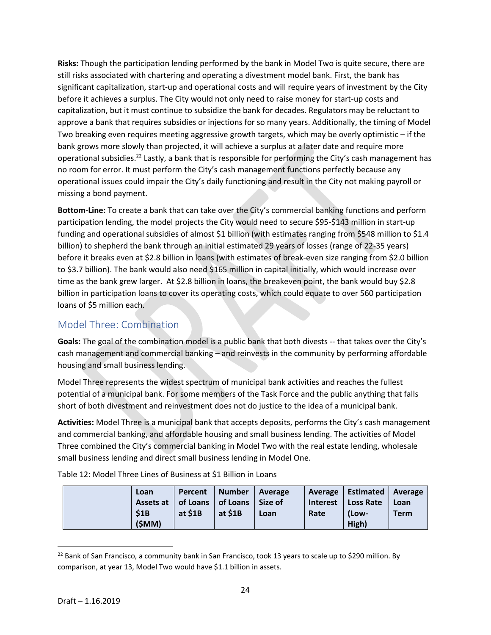**Risks:** Though the participation lending performed by the bank in Model Two is quite secure, there are still risks associated with chartering and operating a divestment model bank. First, the bank has significant capitalization, start-up and operational costs and will require years of investment by the City before it achieves a surplus. The City would not only need to raise money for start-up costs and capitalization, but it must continue to subsidize the bank for decades. Regulators may be reluctant to approve a bank that requires subsidies or injections for so many years. Additionally, the timing of Model Two breaking even requires meeting aggressive growth targets, which may be overly optimistic – if the bank grows more slowly than projected, it will achieve a surplus at a later date and require more operational subsidies.<sup>22</sup> Lastly, a bank that is responsible for performing the City's cash management has no room for error. It must perform the City's cash management functions perfectly because any operational issues could impair the City's daily functioning and result in the City not making payroll or missing a bond payment.

**Bottom-Line:** To create a bank that can take over the City's commercial banking functions and perform participation lending, the model projects the City would need to secure \$95-\$143 million in start-up funding and operational subsidies of almost \$1 billion (with estimates ranging from \$548 million to \$1.4 billion) to shepherd the bank through an initial estimated 29 years of losses (range of 22-35 years) before it breaks even at \$2.8 billion in loans (with estimates of break-even size ranging from \$2.0 billion to \$3.7 billion). The bank would also need \$165 million in capital initially, which would increase over time as the bank grew larger. At \$2.8 billion in loans, the breakeven point, the bank would buy \$2.8 billion in participation loans to cover its operating costs, which could equate to over 560 participation loans of \$5 million each.

# Model Three: Combination

**Goals:** The goal of the combination model is a public bank that both divests -- that takes over the City's cash management and commercial banking – and reinvests in the community by performing affordable housing and small business lending.

Model Three represents the widest spectrum of municipal bank activities and reaches the fullest potential of a municipal bank. For some members of the Task Force and the public anything that falls short of both divestment and reinvestment does not do justice to the idea of a municipal bank.

**Activities:** Model Three is a municipal bank that accepts deposits, performs the City's cash management and commercial banking, and affordable housing and small business lending. The activities of Model Three combined the City's commercial banking in Model Two with the real estate lending, wholesale small business lending and direct small business lending in Model One.

Table 12: Model Three Lines of Business at \$1 Billion in Loans

| Loan                                      |         | Percent   Number   Average |      |      | Average   Estimated   Average |             |
|-------------------------------------------|---------|----------------------------|------|------|-------------------------------|-------------|
| Assets at   of Loans   of Loans   Size of |         |                            |      |      | Interest   Loss Rate          | Loan        |
| \$1B                                      | at \$1B | at \$1B                    | Loan | Rate | (Low-                         | <b>Term</b> |
| (SMM)                                     |         |                            |      |      | High)                         |             |

<sup>&</sup>lt;sup>22</sup> Bank of San Francisco, a community bank in San Francisco, took 13 years to scale up to \$290 million. By comparison, at year 13, Model Two would have \$1.1 billion in assets.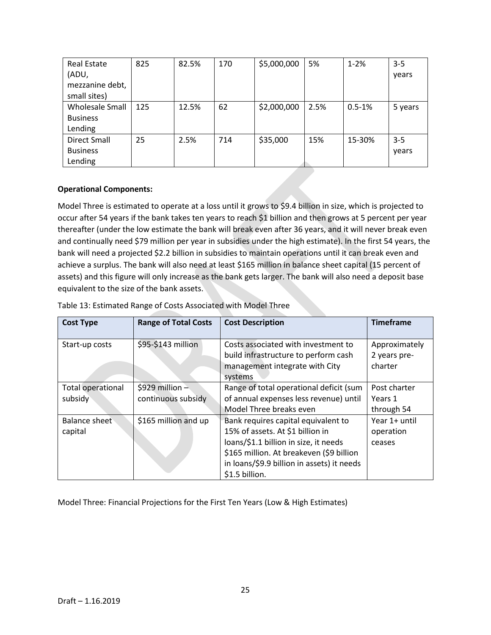| <b>Real Estate</b> | 825 | 82.5% | 170 | \$5,000,000 | 5%   | $1 - 2%$   | $3 - 5$ |
|--------------------|-----|-------|-----|-------------|------|------------|---------|
| (ADU,              |     |       |     |             |      |            | years   |
| mezzanine debt,    |     |       |     |             |      |            |         |
| small sites)       |     |       |     |             |      |            |         |
| Wholesale Small    | 125 | 12.5% | 62  | \$2,000,000 | 2.5% | $0.5 - 1%$ | 5 years |
| <b>Business</b>    |     |       |     |             |      |            |         |
| Lending            |     |       |     |             |      |            |         |
| Direct Small       | 25  | 2.5%  | 714 | \$35,000    | 15%  | 15-30%     | $3 - 5$ |
| <b>Business</b>    |     |       |     |             |      |            | years   |
| Lending            |     |       |     |             |      |            |         |

#### **Operational Components:**

Model Three is estimated to operate at a loss until it grows to \$9.4 billion in size, which is projected to occur after 54 years if the bank takes ten years to reach \$1 billion and then grows at 5 percent per year thereafter (under the low estimate the bank will break even after 36 years, and it will never break even and continually need \$79 million per year in subsidies under the high estimate). In the first 54 years, the bank will need a projected \$2.2 billion in subsidies to maintain operations until it can break even and achieve a surplus. The bank will also need at least \$165 million in balance sheet capital (15 percent of assets) and this figure will only increase as the bank gets larger. The bank will also need a deposit base equivalent to the size of the bank assets.

| <b>Cost Type</b>                    | <b>Range of Total Costs</b>           | <b>Cost Description</b>                                                                                                                                                                                                      | <b>Timeframe</b>                         |
|-------------------------------------|---------------------------------------|------------------------------------------------------------------------------------------------------------------------------------------------------------------------------------------------------------------------------|------------------------------------------|
| Start-up costs                      | \$95-\$143 million                    | Costs associated with investment to<br>build infrastructure to perform cash<br>management integrate with City<br>systems                                                                                                     | Approximately<br>2 years pre-<br>charter |
| <b>Total operational</b><br>subsidy | \$929 million -<br>continuous subsidy | Range of total operational deficit (sum<br>of annual expenses less revenue) until<br>Model Three breaks even                                                                                                                 | Post charter<br>Years 1<br>through 54    |
| Balance sheet<br>capital            | \$165 million and up                  | Bank requires capital equivalent to<br>15% of assets. At \$1 billion in<br>loans/\$1.1 billion in size, it needs<br>\$165 million. At breakeven (\$9 billion<br>in loans/\$9.9 billion in assets) it needs<br>\$1.5 billion. | Year 1+ until<br>operation<br>ceases     |

Table 13: Estimated Range of Costs Associated with Model Three

Model Three: Financial Projections for the First Ten Years (Low & High Estimates)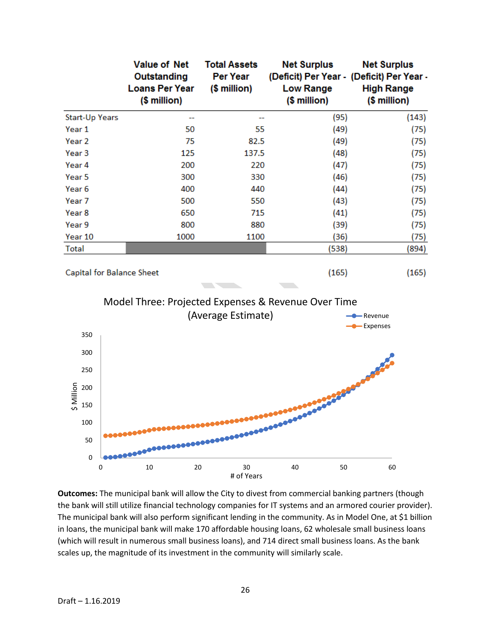|                                                     | <b>Value of Net</b><br>Outstanding<br><b>Loans Per Year</b><br>(\$ million) | <b>Total Assets</b><br><b>Per Year</b><br>$$$ million) | <b>Net Surplus</b><br>(Deficit) Per Year - (Deficit) Per Year -<br><b>Low Range</b><br>$$$ million) | <b>Net Surplus</b><br><b>High Range</b><br>(\$ million) |  |  |
|-----------------------------------------------------|-----------------------------------------------------------------------------|--------------------------------------------------------|-----------------------------------------------------------------------------------------------------|---------------------------------------------------------|--|--|
| <b>Start-Up Years</b>                               | --                                                                          |                                                        | (95)                                                                                                | (143)                                                   |  |  |
| Year 1                                              | 50                                                                          | 55                                                     | (49)                                                                                                | (75)                                                    |  |  |
| Year <sub>2</sub>                                   | 75                                                                          | 82.5                                                   | (49)                                                                                                | (75)                                                    |  |  |
| Year <sub>3</sub>                                   | 125                                                                         | 137.5                                                  | (48)                                                                                                | (75)                                                    |  |  |
| Year 4                                              | 200                                                                         | 220                                                    | (47)                                                                                                | (75)                                                    |  |  |
| Year 5                                              | 300                                                                         | 330                                                    | (46)                                                                                                | (75)                                                    |  |  |
| Year <sub>6</sub>                                   | 400                                                                         | 440                                                    | (44)                                                                                                | (75)                                                    |  |  |
| Year 7                                              | 500                                                                         | 550                                                    | (43)                                                                                                | (75)                                                    |  |  |
| Year 8                                              | 650                                                                         | 715                                                    | (41)                                                                                                | (75)                                                    |  |  |
| Year 9                                              | 800                                                                         | 880                                                    | (39)                                                                                                | (75)                                                    |  |  |
| Year 10                                             | 1000                                                                        | 1100                                                   | (36)                                                                                                | (75)                                                    |  |  |
| Total                                               |                                                                             |                                                        | (538)                                                                                               | (894)                                                   |  |  |
| Capital for Balance Sheet                           |                                                                             |                                                        | (165)                                                                                               | (165)                                                   |  |  |
| Model Three: Projected Expenses & Revenue Over Time |                                                                             |                                                        |                                                                                                     |                                                         |  |  |
| 350                                                 |                                                                             | (Average Estimate)                                     |                                                                                                     | <b>-C</b> -Revenue<br>-Expenses                         |  |  |
| $\sim$ $\sim$                                       |                                                                             |                                                        |                                                                                                     |                                                         |  |  |



**Outcomes:** The municipal bank will allow the City to divest from commercial banking partners (though the bank will still utilize financial technology companies for IT systems and an armored courier provider). The municipal bank will also perform significant lending in the community. As in Model One, at \$1 billion in loans, the municipal bank will make 170 affordable housing loans, 62 wholesale small business loans (which will result in numerous small business loans), and 714 direct small business loans. As the bank scales up, the magnitude of its investment in the community will similarly scale.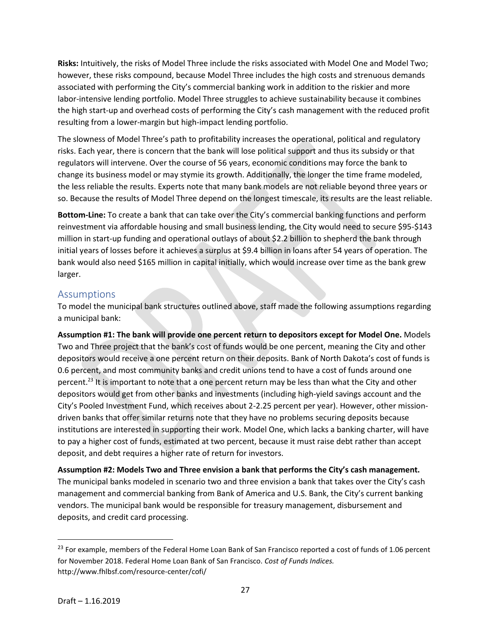**Risks:** Intuitively, the risks of Model Three include the risks associated with Model One and Model Two; however, these risks compound, because Model Three includes the high costs and strenuous demands associated with performing the City's commercial banking work in addition to the riskier and more labor-intensive lending portfolio. Model Three struggles to achieve sustainability because it combines the high start-up and overhead costs of performing the City's cash management with the reduced profit resulting from a lower-margin but high-impact lending portfolio.

The slowness of Model Three's path to profitability increases the operational, political and regulatory risks. Each year, there is concern that the bank will lose political support and thus its subsidy or that regulators will intervene. Over the course of 56 years, economic conditions may force the bank to change its business model or may stymie its growth. Additionally, the longer the time frame modeled, the less reliable the results. Experts note that many bank models are not reliable beyond three years or so. Because the results of Model Three depend on the longest timescale, its results are the least reliable.

**Bottom-Line:** To create a bank that can take over the City's commercial banking functions and perform reinvestment via affordable housing and small business lending, the City would need to secure \$95-\$143 million in start-up funding and operational outlays of about \$2.2 billion to shepherd the bank through initial years of losses before it achieves a surplus at \$9.4 billion in loans after 54 years of operation. The bank would also need \$165 million in capital initially, which would increase over time as the bank grew larger.

#### Assumptions

To model the municipal bank structures outlined above, staff made the following assumptions regarding a municipal bank:

**Assumption #1: The bank will provide one percent return to depositors except for Model One.** Models Two and Three project that the bank's cost of funds would be one percent, meaning the City and other depositors would receive a one percent return on their deposits. Bank of North Dakota's cost of funds is 0.6 percent, and most community banks and credit unions tend to have a cost of funds around one percent.<sup>23</sup> It is important to note that a one percent return may be less than what the City and other depositors would get from other banks and investments (including high-yield savings account and the City's Pooled Investment Fund, which receives about 2-2.25 percent per year). However, other missiondriven banks that offer similar returns note that they have no problems securing deposits because institutions are interested in supporting their work. Model One, which lacks a banking charter, will have to pay a higher cost of funds, estimated at two percent, because it must raise debt rather than accept deposit, and debt requires a higher rate of return for investors.

**Assumption #2: Models Two and Three envision a bank that performs the City's cash management.**  The municipal banks modeled in scenario two and three envision a bank that takes over the City's cash management and commercial banking from Bank of America and U.S. Bank, the City's current banking vendors. The municipal bank would be responsible for treasury management, disbursement and deposits, and credit card processing.

<sup>&</sup>lt;sup>23</sup> For example, members of the Federal Home Loan Bank of San Francisco reported a cost of funds of 1.06 percent for November 2018. Federal Home Loan Bank of San Francisco. *Cost of Funds Indices.*  http://www.fhlbsf.com/resource-center/cofi/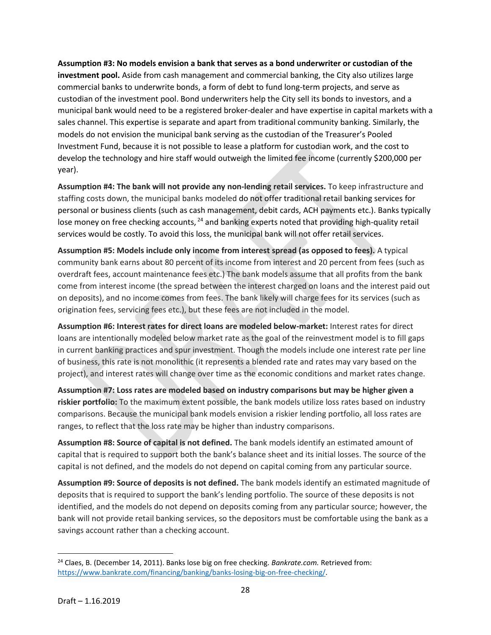**Assumption #3: No models envision a bank that serves as a bond underwriter or custodian of the investment pool.** Aside from cash management and commercial banking, the City also utilizes large commercial banks to underwrite bonds, a form of debt to fund long-term projects, and serve as custodian of the investment pool. Bond underwriters help the City sell its bonds to investors, and a municipal bank would need to be a registered broker-dealer and have expertise in capital markets with a sales channel. This expertise is separate and apart from traditional community banking. Similarly, the models do not envision the municipal bank serving as the custodian of the Treasurer's Pooled Investment Fund, because it is not possible to lease a platform for custodian work, and the cost to develop the technology and hire staff would outweigh the limited fee income (currently \$200,000 per year).

**Assumption #4: The bank will not provide any non-lending retail services.** To keep infrastructure and staffing costs down, the municipal banks modeled do not offer traditional retail banking services for personal or business clients (such as cash management, debit cards, ACH payments etc.). Banks typically lose money on free checking accounts, <sup>24</sup> and banking experts noted that providing high-quality retail services would be costly. To avoid this loss, the municipal bank will not offer retail services.

**Assumption #5: Models include only income from interest spread (as opposed to fees).** A typical community bank earns about 80 percent of its income from interest and 20 percent from fees (such as overdraft fees, account maintenance fees etc.) The bank models assume that all profits from the bank come from interest income (the spread between the interest charged on loans and the interest paid out on deposits), and no income comes from fees. The bank likely will charge fees for its services (such as origination fees, servicing fees etc.), but these fees are not included in the model.

**Assumption #6: Interest rates for direct loans are modeled below-market:** Interest rates for direct loans are intentionally modeled below market rate as the goal of the reinvestment model is to fill gaps in current banking practices and spur investment. Though the models include one interest rate per line of business, this rate is not monolithic (it represents a blended rate and rates may vary based on the project), and interest rates will change over time as the economic conditions and market rates change.

**Assumption #7: Loss rates are modeled based on industry comparisons but may be higher given a riskier portfolio:** To the maximum extent possible, the bank models utilize loss rates based on industry comparisons. Because the municipal bank models envision a riskier lending portfolio, all loss rates are ranges, to reflect that the loss rate may be higher than industry comparisons.

**Assumption #8: Source of capital is not defined.** The bank models identify an estimated amount of capital that is required to support both the bank's balance sheet and its initial losses. The source of the capital is not defined, and the models do not depend on capital coming from any particular source.

**Assumption #9: Source of deposits is not defined.** The bank models identify an estimated magnitude of deposits that is required to support the bank's lending portfolio. The source of these deposits is not identified, and the models do not depend on deposits coming from any particular source; however, the bank will not provide retail banking services, so the depositors must be comfortable using the bank as a savings account rather than a checking account.

<sup>24</sup> Claes, B. (December 14, 2011). Banks lose big on free checking. *Bankrate.com.* Retrieved from: [https://www.bankrate.com/financing/banking/banks-losing-big-on-free-checking/.](https://www.bankrate.com/financing/banking/banks-losing-big-on-free-checking/)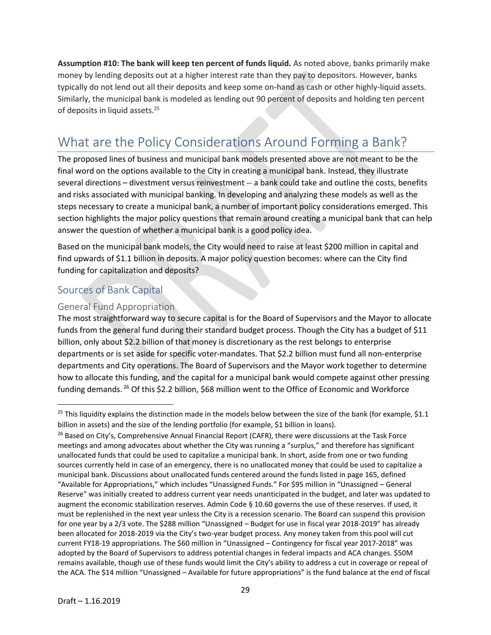**Assumption #10: The bank will keep ten percent of funds liquid.** As noted above, banks primarily make money by lending deposits out at a higher interest rate than they pay to depositors. However, banks typically do not lend out all their deposits and keep some on-hand as cash or other highly-liquid assets. Similarly, the municipal bank is modeled as lending out 90 percent of deposits and holding ten percent of deposits in liquid assets.<sup>25</sup>

# What are the Policy Considerations Around Forming a Bank?

The proposed lines of business and municipal bank models presented above are not meant to be the final word on the options available to the City in creating a municipal bank. Instead, they illustrate several directions – divestment versus reinvestment -- a bank could take and outline the costs, benefits and risks associated with municipal banking. In developing and analyzing these models as well as the steps necessary to create a municipal bank, a number of important policy considerations emerged. This section highlights the major policy questions that remain around creating a municipal bank that can help answer the question of whether a municipal bank is a good policy idea.

Based on the municipal bank models, the City would need to raise at least \$200 million in capital and find upwards of \$1.1 billion in deposits. A major policy question becomes: where can the City find funding for capitalization and deposits?

### Sources of Bank Capital

#### General Fund Appropriation

The most straightforward way to secure capital is for the Board of Supervisors and the Mayor to allocate funds from the general fund during their standard budget process. Though the City has a budget of \$11 billion, only about \$2.2 billion of that money is discretionary as the rest belongs to enterprise departments or is set aside for specific voter-mandates. That \$2.2 billion must fund all non-enterprise departments and City operations. The Board of Supervisors and the Mayor work together to determine how to allocate this funding, and the capital for a municipal bank would compete against other pressing funding demands. <sup>26</sup> Of this \$2.2 billion, \$68 million went to the Office of Economic and Workforce

<sup>&</sup>lt;sup>25</sup> This liquidity explains the distinction made in the models below between the size of the bank (for example, \$1.1 billion in assets) and the size of the lending portfolio (for example, \$1 billion in loans).

<sup>&</sup>lt;sup>26</sup> Based on City's, Comprehensive Annual Financial Report (CAFR), there were discussions at the Task Force meetings and among advocates about whether the City was running a "surplus," and therefore has significant unallocated funds that could be used to capitalize a municipal bank. In short, aside from one or two funding sources currently held in case of an emergency, there is no unallocated money that could be used to capitalize a municipal bank. Discussions about unallocated funds centered around the funds listed in page 165, defined "Available for Appropriations," which includes "Unassigned Funds." For \$95 million in "Unassigned – General Reserve" was initially created to address current year needs unanticipated in the budget, and later was updated to augment the economic stabilization reserves. Admin Code § 10.60 governs the use of these reserves. If used, it must be replenished in the next year unless the City is a recession scenario. The Board can suspend this provision for one year by a 2/3 vote. The \$288 million "Unassigned – Budget for use in fiscal year 2018-2019" has already been allocated for 2018-2019 via the City's two-year budget process. Any money taken from this pool will cut current FY18-19 appropriations. The \$60 million in "Unassigned – Contingency for fiscal year 2017-2018" was adopted by the Board of Supervisors to address potential changes in federal impacts and ACA changes. \$50M remains available, though use of these funds would limit the City's ability to address a cut in coverage or repeal of the ACA. The \$14 million "Unassigned – Available for future appropriations" is the fund balance at the end of fiscal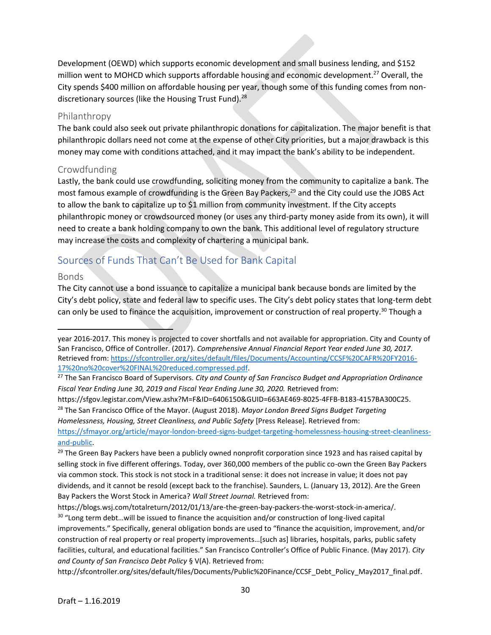Development (OEWD) which supports economic development and small business lending, and \$152 million went to MOHCD which supports affordable housing and economic development.<sup>27</sup> Overall, the City spends \$400 million on affordable housing per year, though some of this funding comes from nondiscretionary sources (like the Housing Trust Fund).<sup>28</sup>

#### Philanthropy

The bank could also seek out private philanthropic donations for capitalization. The major benefit is that philanthropic dollars need not come at the expense of other City priorities, but a major drawback is this money may come with conditions attached, and it may impact the bank's ability to be independent.

#### Crowdfunding

Lastly, the bank could use crowdfunding, soliciting money from the community to capitalize a bank. The most famous example of crowdfunding is the Green Bay Packers,<sup>29</sup> and the City could use the JOBS Act to allow the bank to capitalize up to \$1 million from community investment. If the City accepts philanthropic money or crowdsourced money (or uses any third-party money aside from its own), it will need to create a bank holding company to own the bank. This additional level of regulatory structure may increase the costs and complexity of chartering a municipal bank.

# Sources of Funds That Can't Be Used for Bank Capital

#### Bonds

 $\overline{\phantom{a}}$ 

The City cannot use a bond issuance to capitalize a municipal bank because bonds are limited by the City's debt policy, state and federal law to specific uses. The City's debt policy states that long-term debt can only be used to finance the acquisition, improvement or construction of real property.<sup>30</sup> Though a

*Homelessness, Housing, Street Cleanliness, and Public Safety* [Press Release]. Retrieved from: [https://sfmayor.org/article/mayor-london-breed-signs-budget-targeting-homelessness-housing-street-cleanliness-](https://sfmayor.org/article/mayor-london-breed-signs-budget-targeting-homelessness-housing-street-cleanliness-and-public)

[and-public.](https://sfmayor.org/article/mayor-london-breed-signs-budget-targeting-homelessness-housing-street-cleanliness-and-public)

<sup>29</sup> The Green Bay Packers have been a publicly owned nonprofit corporation since 1923 and has raised capital by selling stock in five different offerings. Today, over 360,000 members of the public co-own the Green Bay Packers via common stock. This stock is not stock in a traditional sense: it does not increase in value; it does not pay dividends, and it cannot be resold (except back to the franchise). Saunders, L. (January 13, 2012). Are the Green Bay Packers the Worst Stock in America? *Wall Street Journal.* Retrieved from:

year 2016-2017. This money is projected to cover shortfalls and not available for appropriation. City and County of San Francisco, Office of Controller. (2017). *Comprehensive Annual Financial Report Year ended June 30, 2017.* Retrieved from: [https://sfcontroller.org/sites/default/files/Documents/Accounting/CCSF%20CAFR%20FY2016-](https://sfcontroller.org/sites/default/files/Documents/Accounting/CCSF%20CAFR%20FY2016-17%20no%20cover%20FINAL%20reduced.compressed.pdf) [17%20no%20cover%20FINAL%20reduced.compressed.pdf.](https://sfcontroller.org/sites/default/files/Documents/Accounting/CCSF%20CAFR%20FY2016-17%20no%20cover%20FINAL%20reduced.compressed.pdf)

<sup>27</sup> The San Francisco Board of Supervisors. *City and County of San Francisco Budget and Appropriation Ordinance Fiscal Year Ending June 30, 2019 and Fiscal Year Ending June 30, 2020.* Retrieved from:

https://sfgov.legistar.com/View.ashx?M=F&ID=6406150&GUID=663AE469-8025-4FFB-B183-4157BA300C25. <sup>28</sup> The San Francisco Office of the Mayor. (August 2018). *Mayor London Breed Signs Budget Targeting* 

https://blogs.wsj.com/totalreturn/2012/01/13/are-the-green-bay-packers-the-worst-stock-in-america/.

<sup>&</sup>lt;sup>30</sup> "Long term debt...will be issued to finance the acquisition and/or construction of long-lived capital improvements." Specifically, general obligation bonds are used to "finance the acquisition, improvement, and/or construction of real property or real property improvements…[such as] libraries, hospitals, parks, public safety facilities, cultural, and educational facilities." San Francisco Controller's Office of Public Finance. (May 2017). *City and County of San Francisco Debt Policy* § V(A). Retrieved from:

http://sfcontroller.org/sites/default/files/Documents/Public%20Finance/CCSF\_Debt\_Policy\_May2017\_final.pdf.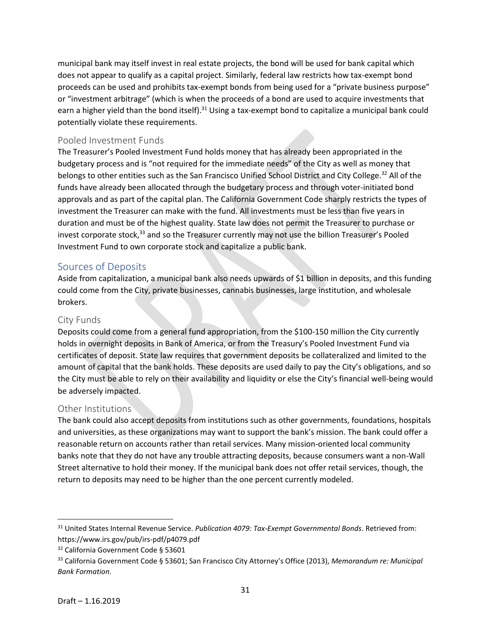municipal bank may itself invest in real estate projects, the bond will be used for bank capital which does not appear to qualify as a capital project. Similarly, federal law restricts how tax-exempt bond proceeds can be used and prohibits tax-exempt bonds from being used for a "private business purpose" or "investment arbitrage" (which is when the proceeds of a bond are used to acquire investments that earn a higher yield than the bond itself).<sup>31</sup> Using a tax-exempt bond to capitalize a municipal bank could potentially violate these requirements.

#### Pooled Investment Funds

The Treasurer's Pooled Investment Fund holds money that has already been appropriated in the budgetary process and is "not required for the immediate needs" of the City as well as money that belongs to other entities such as the San Francisco Unified School District and City College.<sup>32</sup> All of the funds have already been allocated through the budgetary process and through voter-initiated bond approvals and as part of the capital plan. The California Government Code sharply restricts the types of investment the Treasurer can make with the fund. All investments must be less than five years in duration and must be of the highest quality. State law does not permit the Treasurer to purchase or invest corporate stock,<sup>33</sup> and so the Treasurer currently may not use the billion Treasurer's Pooled Investment Fund to own corporate stock and capitalize a public bank.

#### Sources of Deposits

Aside from capitalization, a municipal bank also needs upwards of \$1 billion in deposits, and this funding could come from the City, private businesses, cannabis businesses, large institution, and wholesale brokers.

#### City Funds

Deposits could come from a general fund appropriation, from the \$100-150 million the City currently holds in overnight deposits in Bank of America, or from the Treasury's Pooled Investment Fund via certificates of deposit. State law requires that government deposits be collateralized and limited to the amount of capital that the bank holds. These deposits are used daily to pay the City's obligations, and so the City must be able to rely on their availability and liquidity or else the City's financial well-being would be adversely impacted.

#### Other Institutions

The bank could also accept deposits from institutions such as other governments, foundations, hospitals and universities, as these organizations may want to support the bank's mission. The bank could offer a reasonable return on accounts rather than retail services. Many mission-oriented local community banks note that they do not have any trouble attracting deposits, because consumers want a non-Wall Street alternative to hold their money. If the municipal bank does not offer retail services, though, the return to deposits may need to be higher than the one percent currently modeled.

<sup>31</sup> United States Internal Revenue Service. *Publication 4079: Tax-Exempt Governmental Bonds*. Retrieved from: https://www.irs.gov/pub/irs-pdf/p4079.pdf

<sup>&</sup>lt;sup>32</sup> California Government Code § 53601

<sup>33</sup> California Government Code § 53601; San Francisco City Attorney's Office (2013), *Memorandum re: Municipal Bank Formation*.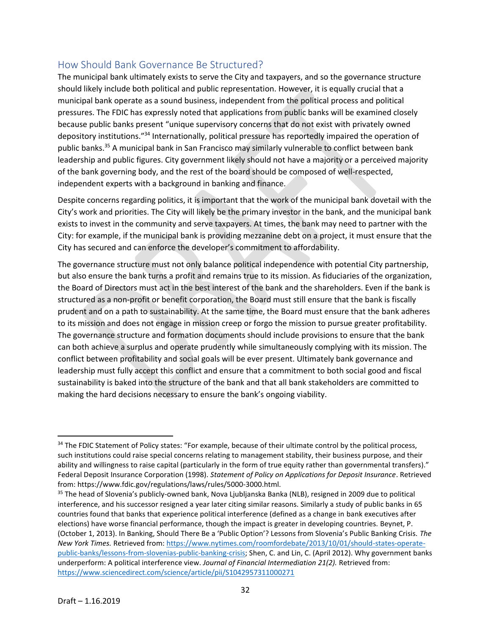### How Should Bank Governance Be Structured?

The municipal bank ultimately exists to serve the City and taxpayers, and so the governance structure should likely include both political and public representation. However, it is equally crucial that a municipal bank operate as a sound business, independent from the political process and political pressures. The FDIC has expressly noted that applications from public banks will be examined closely because public banks present "unique supervisory concerns that do not exist with privately owned depository institutions."<sup>34</sup> Internationally, political pressure has reportedly impaired the operation of public banks.<sup>35</sup> A municipal bank in San Francisco may similarly vulnerable to conflict between bank leadership and public figures. City government likely should not have a majority or a perceived majority of the bank governing body, and the rest of the board should be composed of well-respected, independent experts with a background in banking and finance.

Despite concerns regarding politics, it is important that the work of the municipal bank dovetail with the City's work and priorities. The City will likely be the primary investor in the bank, and the municipal bank exists to invest in the community and serve taxpayers. At times, the bank may need to partner with the City: for example, if the municipal bank is providing mezzanine debt on a project, it must ensure that the City has secured and can enforce the developer's commitment to affordability.

The governance structure must not only balance political independence with potential City partnership, but also ensure the bank turns a profit and remains true to its mission. As fiduciaries of the organization, the Board of Directors must act in the best interest of the bank and the shareholders. Even if the bank is structured as a non-profit or benefit corporation, the Board must still ensure that the bank is fiscally prudent and on a path to sustainability. At the same time, the Board must ensure that the bank adheres to its mission and does not engage in mission creep or forgo the mission to pursue greater profitability. The governance structure and formation documents should include provisions to ensure that the bank can both achieve a surplus and operate prudently while simultaneously complying with its mission. The conflict between profitability and social goals will be ever present. Ultimately bank governance and leadership must fully accept this conflict and ensure that a commitment to both social good and fiscal sustainability is baked into the structure of the bank and that all bank stakeholders are committed to making the hard decisions necessary to ensure the bank's ongoing viability.

<sup>&</sup>lt;sup>34</sup> The FDIC Statement of Policy states: "For example, because of their ultimate control by the political process, such institutions could raise special concerns relating to management stability, their business purpose, and their ability and willingness to raise capital (particularly in the form of true equity rather than governmental transfers)." Federal Deposit Insurance Corporation (1998). *Statement of Policy on Applications for Deposit Insurance*. Retrieved from: https://www.fdic.gov/regulations/laws/rules/5000-3000.html.

<sup>&</sup>lt;sup>35</sup> The head of Slovenia's publicly-owned bank, Nova Ljubljanska Banka (NLB), resigned in 2009 due to political interference, and his successor resigned a year later citing similar reasons. Similarly a study of public banks in 65 countries found that banks that experience political interference (defined as a change in bank executives after elections) have worse financial performance, though the impact is greater in developing countries. Beynet, P. (October 1, 2013). In Banking, Should There Be a 'Public Option'? Lessons from Slovenia's Public Banking Crisis. *The New York Times.* Retrieved from[: https://www.nytimes.com/roomfordebate/2013/10/01/should-states-operate](https://www.nytimes.com/roomfordebate/2013/10/01/should-states-operate-public-banks/lessons-from-slovenias-public-banking-crisis)[public-banks/lessons-from-slovenias-public-banking-crisis;](https://www.nytimes.com/roomfordebate/2013/10/01/should-states-operate-public-banks/lessons-from-slovenias-public-banking-crisis) Shen, C. and Lin, C. (April 2012). Why government banks underperform: A political interference view. *Journal of Financial Intermediation 21(2).* Retrieved from: <https://www.sciencedirect.com/science/article/pii/S1042957311000271>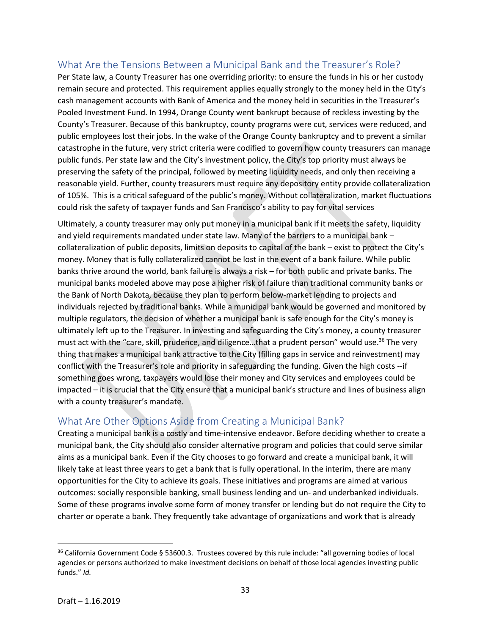# What Are the Tensions Between a Municipal Bank and the Treasurer's Role?

Per State law, a County Treasurer has one overriding priority: to ensure the funds in his or her custody remain secure and protected. This requirement applies equally strongly to the money held in the City's cash management accounts with Bank of America and the money held in securities in the Treasurer's Pooled Investment Fund. In 1994, Orange County went bankrupt because of reckless investing by the County's Treasurer. Because of this bankruptcy, county programs were cut, services were reduced, and public employees lost their jobs. In the wake of the Orange County bankruptcy and to prevent a similar catastrophe in the future, very strict criteria were codified to govern how county treasurers can manage public funds. Per state law and the City's investment policy, the City's top priority must always be preserving the safety of the principal, followed by meeting liquidity needs, and only then receiving a reasonable yield. Further, county treasurers must require any depository entity provide collateralization of 105%. This is a critical safeguard of the public's money. Without collateralization, market fluctuations could risk the safety of taxpayer funds and San Francisco's ability to pay for vital services

Ultimately, a county treasurer may only put money in a municipal bank if it meets the safety, liquidity and yield requirements mandated under state law. Many of the barriers to a municipal bank – collateralization of public deposits, limits on deposits to capital of the bank – exist to protect the City's money. Money that is fully collateralized cannot be lost in the event of a bank failure. While public banks thrive around the world, bank failure is always a risk – for both public and private banks. The municipal banks modeled above may pose a higher risk of failure than traditional community banks or the Bank of North Dakota, because they plan to perform below-market lending to projects and individuals rejected by traditional banks. While a municipal bank would be governed and monitored by multiple regulators, the decision of whether a municipal bank is safe enough for the City's money is ultimately left up to the Treasurer. In investing and safeguarding the City's money, a county treasurer must act with the "care, skill, prudence, and diligence...that a prudent person" would use.<sup>36</sup> The very thing that makes a municipal bank attractive to the City (filling gaps in service and reinvestment) may conflict with the Treasurer's role and priority in safeguarding the funding. Given the high costs --if something goes wrong, taxpayers would lose their money and City services and employees could be impacted – it is crucial that the City ensure that a municipal bank's structure and lines of business align with a county treasurer's mandate.

### What Are Other Options Aside from Creating a Municipal Bank?

Creating a municipal bank is a costly and time-intensive endeavor. Before deciding whether to create a municipal bank, the City should also consider alternative program and policies that could serve similar aims as a municipal bank. Even if the City chooses to go forward and create a municipal bank, it will likely take at least three years to get a bank that is fully operational. In the interim, there are many opportunities for the City to achieve its goals. These initiatives and programs are aimed at various outcomes: socially responsible banking, small business lending and un- and underbanked individuals. Some of these programs involve some form of money transfer or lending but do not require the City to charter or operate a bank. They frequently take advantage of organizations and work that is already

 $\overline{a}$ 

<sup>36</sup> California Government Code § 53600.3. Trustees covered by this rule include: "all governing bodies of local agencies or persons authorized to make investment decisions on behalf of those local agencies investing public funds." *Id.*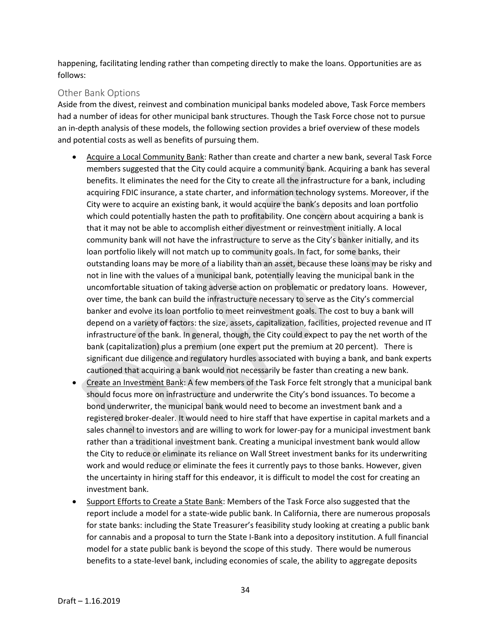happening, facilitating lending rather than competing directly to make the loans. Opportunities are as follows:

#### Other Bank Options

Aside from the divest, reinvest and combination municipal banks modeled above, Task Force members had a number of ideas for other municipal bank structures. Though the Task Force chose not to pursue an in-depth analysis of these models, the following section provides a brief overview of these models and potential costs as well as benefits of pursuing them.

- Acquire a Local Community Bank: Rather than create and charter a new bank, several Task Force members suggested that the City could acquire a community bank. Acquiring a bank has several benefits. It eliminates the need for the City to create all the infrastructure for a bank, including acquiring FDIC insurance, a state charter, and information technology systems. Moreover, if the City were to acquire an existing bank, it would acquire the bank's deposits and loan portfolio which could potentially hasten the path to profitability. One concern about acquiring a bank is that it may not be able to accomplish either divestment or reinvestment initially. A local community bank will not have the infrastructure to serve as the City's banker initially, and its loan portfolio likely will not match up to community goals. In fact, for some banks, their outstanding loans may be more of a liability than an asset, because these loans may be risky and not in line with the values of a municipal bank, potentially leaving the municipal bank in the uncomfortable situation of taking adverse action on problematic or predatory loans. However, over time, the bank can build the infrastructure necessary to serve as the City's commercial banker and evolve its loan portfolio to meet reinvestment goals. The cost to buy a bank will depend on a variety of factors: the size, assets, capitalization, facilities, projected revenue and IT infrastructure of the bank. In general, though, the City could expect to pay the net worth of the bank (capitalization) plus a premium (one expert put the premium at 20 percent). There is significant due diligence and regulatory hurdles associated with buying a bank, and bank experts cautioned that acquiring a bank would not necessarily be faster than creating a new bank.
- Create an Investment Bank: A few members of the Task Force felt strongly that a municipal bank should focus more on infrastructure and underwrite the City's bond issuances. To become a bond underwriter, the municipal bank would need to become an investment bank and a registered broker-dealer. It would need to hire staff that have expertise in capital markets and a sales channel to investors and are willing to work for lower-pay for a municipal investment bank rather than a traditional investment bank. Creating a municipal investment bank would allow the City to reduce or eliminate its reliance on Wall Street investment banks for its underwriting work and would reduce or eliminate the fees it currently pays to those banks. However, given the uncertainty in hiring staff for this endeavor, it is difficult to model the cost for creating an investment bank.
- Support Efforts to Create a State Bank: Members of the Task Force also suggested that the report include a model for a state-wide public bank. In California, there are numerous proposals for state banks: including the State Treasurer's feasibility study looking at creating a public bank for cannabis and a proposal to turn the State I-Bank into a depository institution. A full financial model for a state public bank is beyond the scope of this study. There would be numerous benefits to a state-level bank, including economies of scale, the ability to aggregate deposits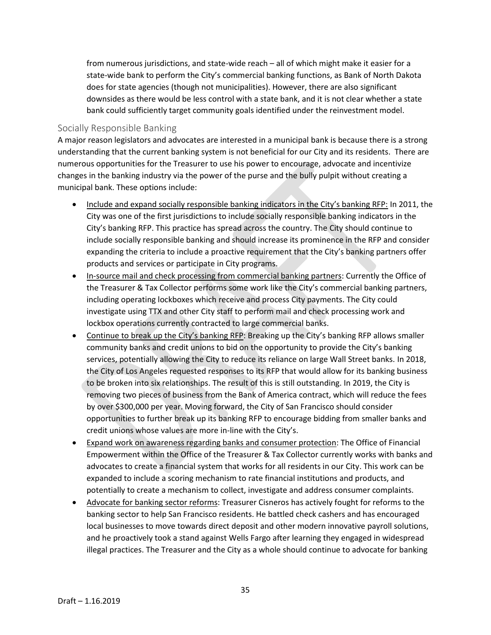from numerous jurisdictions, and state-wide reach – all of which might make it easier for a state-wide bank to perform the City's commercial banking functions, as Bank of North Dakota does for state agencies (though not municipalities). However, there are also significant downsides as there would be less control with a state bank, and it is not clear whether a state bank could sufficiently target community goals identified under the reinvestment model.

#### Socially Responsible Banking

A major reason legislators and advocates are interested in a municipal bank is because there is a strong understanding that the current banking system is not beneficial for our City and its residents. There are numerous opportunities for the Treasurer to use his power to encourage, advocate and incentivize changes in the banking industry via the power of the purse and the bully pulpit without creating a municipal bank. These options include:

- Include and expand socially responsible banking indicators in the City's banking RFP: In 2011, the City was one of the first jurisdictions to include socially responsible banking indicators in the City's banking RFP. This practice has spread across the country. The City should continue to include socially responsible banking and should increase its prominence in the RFP and consider expanding the criteria to include a proactive requirement that the City's banking partners offer products and services or participate in City programs.
- In-source mail and check processing from commercial banking partners: Currently the Office of the Treasurer & Tax Collector performs some work like the City's commercial banking partners, including operating lockboxes which receive and process City payments. The City could investigate using TTX and other City staff to perform mail and check processing work and lockbox operations currently contracted to large commercial banks.
- Continue to break up the City's banking RFP: Breaking up the City's banking RFP allows smaller community banks and credit unions to bid on the opportunity to provide the City's banking services, potentially allowing the City to reduce its reliance on large Wall Street banks. In 2018, the City of Los Angeles requested responses to its RFP that would allow for its banking business to be broken into six relationships. The result of this is still outstanding. In 2019, the City is removing two pieces of business from the Bank of America contract, which will reduce the fees by over \$300,000 per year. Moving forward, the City of San Francisco should consider opportunities to further break up its banking RFP to encourage bidding from smaller banks and credit unions whose values are more in-line with the City's.
- Expand work on awareness regarding banks and consumer protection: The Office of Financial Empowerment within the Office of the Treasurer & Tax Collector currently works with banks and advocates to create a financial system that works for all residents in our City. This work can be expanded to include a scoring mechanism to rate financial institutions and products, and potentially to create a mechanism to collect, investigate and address consumer complaints.
- Advocate for banking sector reforms: Treasurer Cisneros has actively fought for reforms to the banking sector to help San Francisco residents. He battled check cashers and has encouraged local businesses to move towards direct deposit and other modern innovative payroll solutions, and he proactively took a stand against Wells Fargo after learning they engaged in widespread illegal practices. The Treasurer and the City as a whole should continue to advocate for banking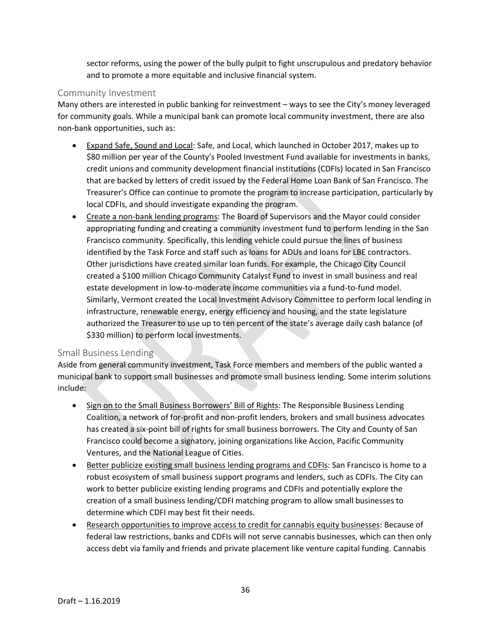sector reforms, using the power of the bully pulpit to fight unscrupulous and predatory behavior and to promote a more equitable and inclusive financial system.

#### Community Investment

Many others are interested in public banking for reinvestment – ways to see the City's money leveraged for community goals. While a municipal bank can promote local community investment, there are also non-bank opportunities, such as:

- Expand Safe, Sound and Local: Safe, and Local, which launched in October 2017, makes up to \$80 million per year of the County's Pooled Investment Fund available for investments in banks, credit unions and community development financial institutions (CDFIs) located in San Francisco that are backed by letters of credit issued by the Federal Home Loan Bank of San Francisco. The Treasurer's Office can continue to promote the program to increase participation, particularly by local CDFIs, and should investigate expanding the program.
- Create a non-bank lending programs: The Board of Supervisors and the Mayor could consider appropriating funding and creating a community investment fund to perform lending in the San Francisco community. Specifically, this lending vehicle could pursue the lines of business identified by the Task Force and staff such as loans for ADUs and loans for LBE contractors. Other jurisdictions have created similar loan funds. For example, the Chicago City Council created a \$100 million Chicago Community Catalyst Fund to invest in small business and real estate development in low-to-moderate income communities via a fund-to-fund model. Similarly, Vermont created the Local Investment Advisory Committee to perform local lending in infrastructure, renewable energy, energy efficiency and housing, and the state legislature authorized the Treasurer to use up to ten percent of the state's average daily cash balance (of \$330 million) to perform local investments.

#### Small Business Lending

Aside from general community investment, Task Force members and members of the public wanted a municipal bank to support small businesses and promote small business lending. Some interim solutions include:

- Sign on to the Small Business Borrowers' Bill of Rights: The Responsible Business Lending Coalition, a network of for-profit and non-profit lenders, brokers and small business advocates has created a six-point bill of rights for small business borrowers. The City and County of San Francisco could become a signatory, joining organizations like Accion, Pacific Community Ventures, and the National League of Cities.
- Better publicize existing small business lending programs and CDFIs: San Francisco is home to a robust ecosystem of small business support programs and lenders, such as CDFIs. The City can work to better publicize existing lending programs and CDFIs and potentially explore the creation of a small business lending/CDFI matching program to allow small businesses to determine which CDFI may best fit their needs.
- Research opportunities to improve access to credit for cannabis equity businesses: Because of federal law restrictions, banks and CDFIs will not serve cannabis businesses, which can then only access debt via family and friends and private placement like venture capital funding. Cannabis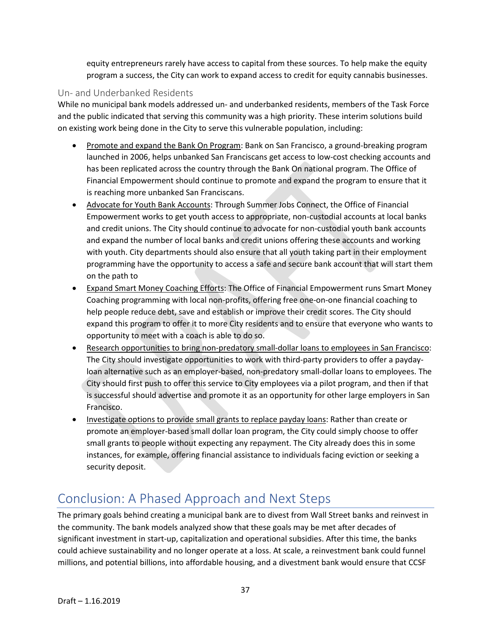equity entrepreneurs rarely have access to capital from these sources. To help make the equity program a success, the City can work to expand access to credit for equity cannabis businesses.

#### Un- and Underbanked Residents

While no municipal bank models addressed un- and underbanked residents, members of the Task Force and the public indicated that serving this community was a high priority. These interim solutions build on existing work being done in the City to serve this vulnerable population, including:

- Promote and expand the Bank On Program: Bank on San Francisco, a ground-breaking program launched in 2006, helps unbanked San Franciscans get access to low-cost checking accounts and has been replicated across the country through the Bank On national program. The Office of Financial Empowerment should continue to promote and expand the program to ensure that it is reaching more unbanked San Franciscans.
- Advocate for Youth Bank Accounts: Through Summer Jobs Connect, the Office of Financial Empowerment works to get youth access to appropriate, non-custodial accounts at local banks and credit unions. The City should continue to advocate for non-custodial youth bank accounts and expand the number of local banks and credit unions offering these accounts and working with youth. City departments should also ensure that all youth taking part in their employment programming have the opportunity to access a safe and secure bank account that will start them on the path to
- Expand Smart Money Coaching Efforts: The Office of Financial Empowerment runs Smart Money Coaching programming with local non-profits, offering free one-on-one financial coaching to help people reduce debt, save and establish or improve their credit scores. The City should expand this program to offer it to more City residents and to ensure that everyone who wants to opportunity to meet with a coach is able to do so.
- Research opportunities to bring non-predatory small-dollar loans to employees in San Francisco: The City should investigate opportunities to work with third-party providers to offer a paydayloan alternative such as an employer-based, non-predatory small-dollar loans to employees. The City should first push to offer this service to City employees via a pilot program, and then if that is successful should advertise and promote it as an opportunity for other large employers in San Francisco.
- Investigate options to provide small grants to replace payday loans: Rather than create or promote an employer-based small dollar loan program, the City could simply choose to offer small grants to people without expecting any repayment. The City already does this in some instances, for example, offering financial assistance to individuals facing eviction or seeking a security deposit.

# Conclusion: A Phased Approach and Next Steps

The primary goals behind creating a municipal bank are to divest from Wall Street banks and reinvest in the community. The bank models analyzed show that these goals may be met after decades of significant investment in start-up, capitalization and operational subsidies. After this time, the banks could achieve sustainability and no longer operate at a loss. At scale, a reinvestment bank could funnel millions, and potential billions, into affordable housing, and a divestment bank would ensure that CCSF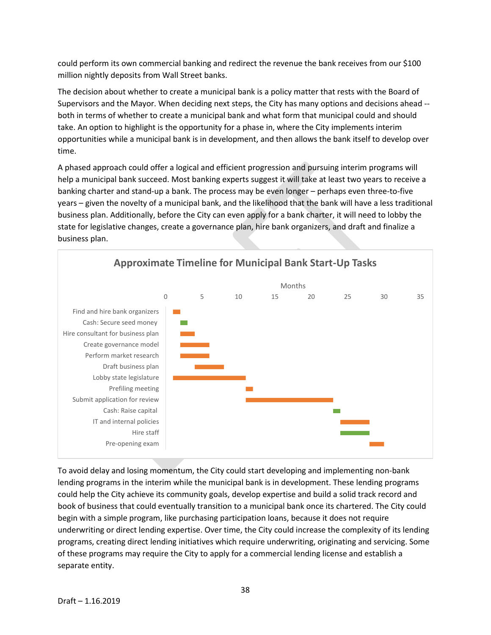could perform its own commercial banking and redirect the revenue the bank receives from our \$100 million nightly deposits from Wall Street banks.

The decision about whether to create a municipal bank is a policy matter that rests with the Board of Supervisors and the Mayor. When deciding next steps, the City has many options and decisions ahead - both in terms of whether to create a municipal bank and what form that municipal could and should take. An option to highlight is the opportunity for a phase in, where the City implements interim opportunities while a municipal bank is in development, and then allows the bank itself to develop over time.

A phased approach could offer a logical and efficient progression and pursuing interim programs will help a municipal bank succeed. Most banking experts suggest it will take at least two years to receive a banking charter and stand-up a bank. The process may be even longer – perhaps even three-to-five years – given the novelty of a municipal bank, and the likelihood that the bank will have a less traditional business plan. Additionally, before the City can even apply for a bank charter, it will need to lobby the state for legislative changes, create a governance plan, hire bank organizers, and draft and finalize a business plan.



To avoid delay and losing momentum, the City could start developing and implementing non-bank lending programs in the interim while the municipal bank is in development. These lending programs could help the City achieve its community goals, develop expertise and build a solid track record and book of business that could eventually transition to a municipal bank once its chartered. The City could begin with a simple program, like purchasing participation loans, because it does not require underwriting or direct lending expertise. Over time, the City could increase the complexity of its lending programs, creating direct lending initiatives which require underwriting, originating and servicing. Some of these programs may require the City to apply for a commercial lending license and establish a separate entity.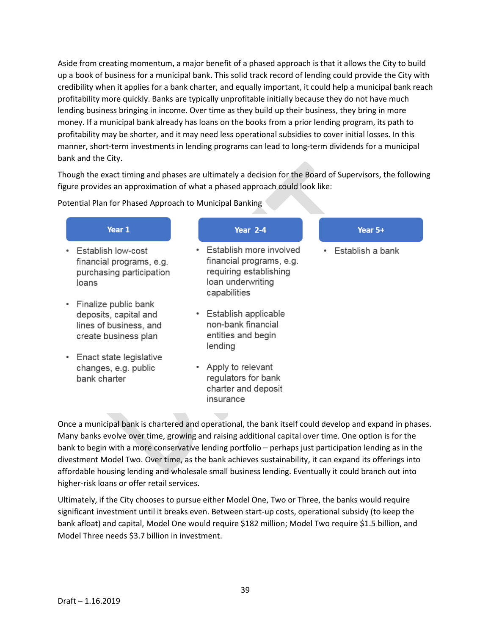Aside from creating momentum, a major benefit of a phased approach is that it allows the City to build up a book of business for a municipal bank. This solid track record of lending could provide the City with credibility when it applies for a bank charter, and equally important, it could help a municipal bank reach profitability more quickly. Banks are typically unprofitable initially because they do not have much lending business bringing in income. Over time as they build up their business, they bring in more money. If a municipal bank already has loans on the books from a prior lending program, its path to profitability may be shorter, and it may need less operational subsidies to cover initial losses. In this manner, short-term investments in lending programs can lead to long-term dividends for a municipal bank and the City.

Though the exact timing and phases are ultimately a decision for the Board of Supervisors, the following figure provides an approximation of what a phased approach could look like:

Potential Plan for Phased Approach to Municipal Banking

| Year 1                                                                                          | Year 2-4                                                                                                                        | Year 5+          |
|-------------------------------------------------------------------------------------------------|---------------------------------------------------------------------------------------------------------------------------------|------------------|
| Establish low-cost<br>financial programs, e.g.<br>purchasing participation<br>loans             | Establish more involved<br>$\bullet$<br>financial programs, e.g.<br>requiring establishing<br>loan underwriting<br>capabilities | Establish a bank |
| Finalize public bank<br>deposits, capital and<br>lines of business, and<br>create business plan | Establish applicable<br>٠<br>non-bank financial<br>entities and begin<br>lending                                                |                  |
| Enact state legislative<br>changes, e.g. public<br>bank charter                                 | • Apply to relevant<br>regulators for bank<br>charter and deposit<br>insurance                                                  |                  |

Once a municipal bank is chartered and operational, the bank itself could develop and expand in phases. Many banks evolve over time, growing and raising additional capital over time. One option is for the bank to begin with a more conservative lending portfolio – perhaps just participation lending as in the divestment Model Two. Over time, as the bank achieves sustainability, it can expand its offerings into affordable housing lending and wholesale small business lending. Eventually it could branch out into higher-risk loans or offer retail services.

Ultimately, if the City chooses to pursue either Model One, Two or Three, the banks would require significant investment until it breaks even. Between start-up costs, operational subsidy (to keep the bank afloat) and capital, Model One would require \$182 million; Model Two require \$1.5 billion, and Model Three needs \$3.7 billion in investment.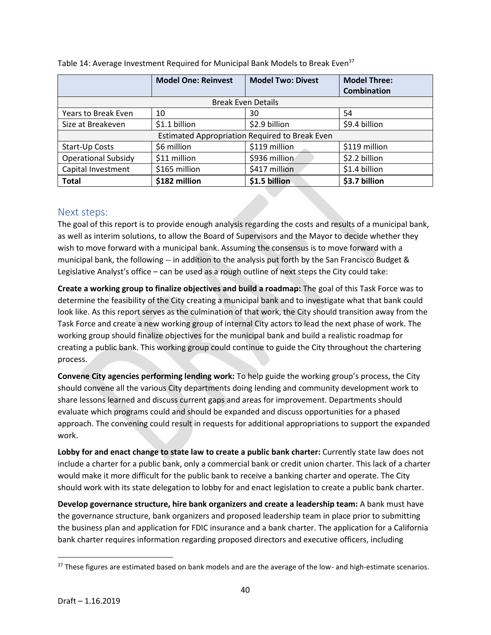|                            | <b>Model One: Reinvest</b> | <b>Model Two: Divest</b>                       | <b>Model Three:</b> |
|----------------------------|----------------------------|------------------------------------------------|---------------------|
|                            |                            |                                                | <b>Combination</b>  |
|                            |                            | <b>Break Even Details</b>                      |                     |
| Years to Break Even        | 10                         | 30                                             | 54                  |
| Size at Breakeven          | \$1.1 billion              | \$2.9 billion                                  | \$9.4 billion       |
|                            |                            | Estimated Appropriation Required to Break Even |                     |
| Start-Up Costs             | \$6 million                | \$119 million                                  | \$119 million       |
| <b>Operational Subsidy</b> | \$11 million               | \$936 million                                  | \$2.2 billion       |
| Capital Investment         | \$165 million              | \$417 million                                  | \$1.4 billion       |
| <b>Total</b>               | \$182 million              | \$1.5 billion                                  | \$3.7 billion       |

Table 14: Average Investment Required for Municipal Bank Models to Break Even<sup>37</sup>

#### Next steps:

The goal of this report is to provide enough analysis regarding the costs and results of a municipal bank, as well as interim solutions, to allow the Board of Supervisors and the Mayor to decide whether they wish to move forward with a municipal bank. Assuming the consensus is to move forward with a municipal bank, the following -- in addition to the analysis put forth by the San Francisco Budget & Legislative Analyst's office – can be used as a rough outline of next steps the City could take:

**Create a working group to finalize objectives and build a roadmap:** The goal of this Task Force was to determine the feasibility of the City creating a municipal bank and to investigate what that bank could look like. As this report serves as the culmination of that work, the City should transition away from the Task Force and create a new working group of internal City actors to lead the next phase of work. The working group should finalize objectives for the municipal bank and build a realistic roadmap for creating a public bank. This working group could continue to guide the City throughout the chartering process.

**Convene City agencies performing lending work:** To help guide the working group's process, the City should convene all the various City departments doing lending and community development work to share lessons learned and discuss current gaps and areas for improvement. Departments should evaluate which programs could and should be expanded and discuss opportunities for a phased approach. The convening could result in requests for additional appropriations to support the expanded work.

**Lobby for and enact change to state law to create a public bank charter:** Currently state law does not include a charter for a public bank, only a commercial bank or credit union charter. This lack of a charter would make it more difficult for the public bank to receive a banking charter and operate. The City should work with its state delegation to lobby for and enact legislation to create a public bank charter.

**Develop governance structure, hire bank organizers and create a leadership team:** A bank must have the governance structure, bank organizers and proposed leadership team in place prior to submitting the business plan and application for FDIC insurance and a bank charter. The application for a California bank charter requires information regarding proposed directors and executive officers, including

 $37$  These figures are estimated based on bank models and are the average of the low- and high-estimate scenarios.